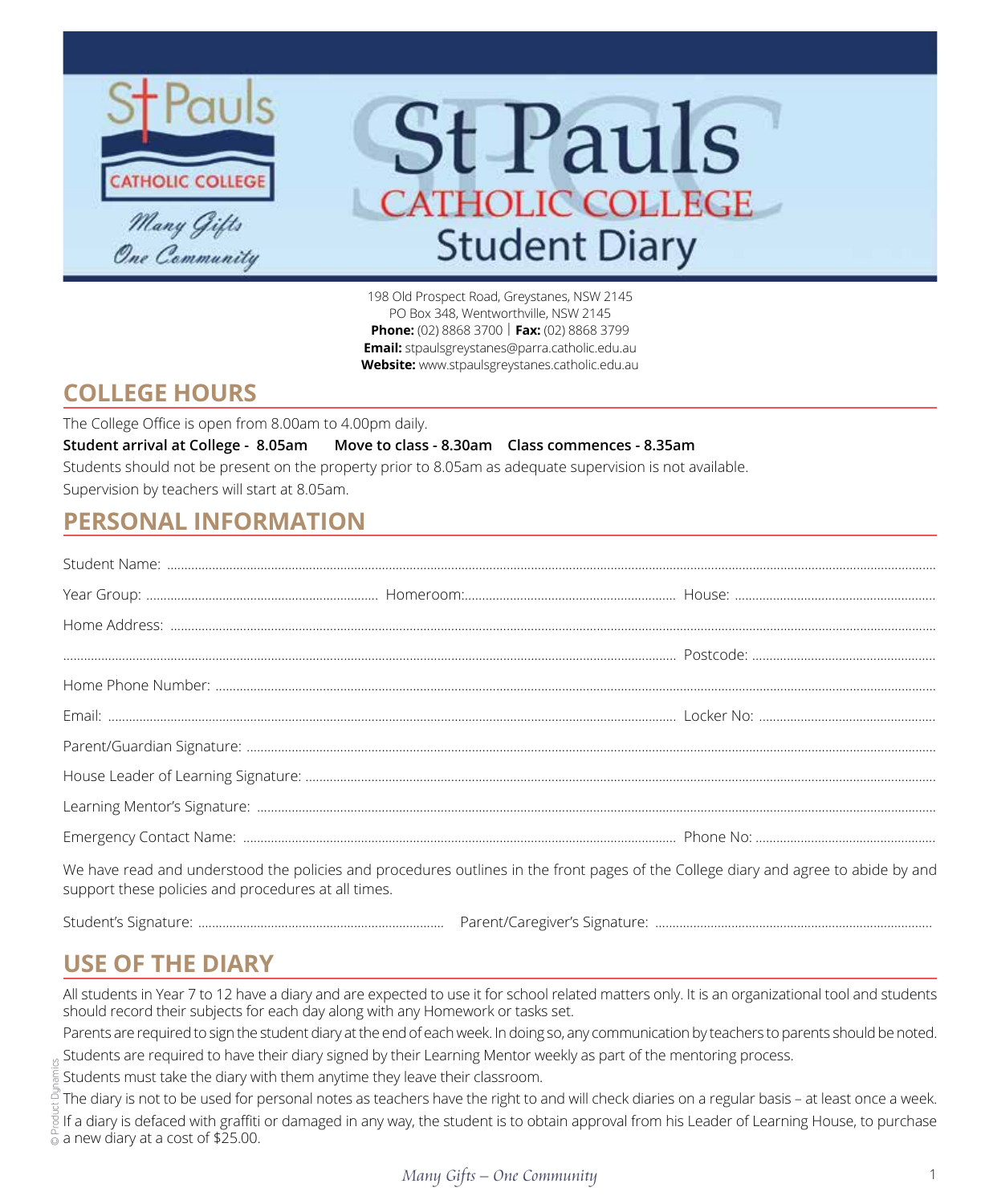

# **St Pauls CATHOLIC COLLEGE Student Diary**

198 Old Prospect Road, Greystanes, NSW 2145 PO Box 348, Wentworthville, NSW 2145 **Phone:** (02) 8868 3700 **Fax:** (02) 8868 3799 **Email:** stpaulsgreystanes@parra.catholic.edu.au **Website:** www.stpaulsgreystanes.catholic.edu.au

### **COLLEGE HOURS**

The College Office is open from 8.00am to 4.00pm daily.

**Student arrival at College - 8.05am Move to class - 8.30am Class commences - 8.35am** Students should not be present on the property prior to 8.05am as adequate supervision is not available. Supervision by teachers will start at 8.05am.

### **PERSONAL INFORMATION**

We have read and understood the policies and procedures outlines in the front pages of the College diary and agree to abide by and support these policies and procedures at all times.

Student's Signature: ....................................................................... Parent/Caregiver's Signature: ................................................................................

### **USE OF THE DIARY**

All students in Year 7 to 12 have a diary and are expected to use it for school related matters only. It is an organizational tool and students should record their subjects for each day along with any Homework or tasks set.

Parents are required to sign the student diary at the end of each week. In doing so, any communication by teachers to parents should be noted. Students are required to have their diary signed by their Learning Mentor weekly as part of the mentoring process.

Students must take the diary with them anytime they leave their classroom. © Product Dynamics

The diary is not to be used for personal notes as teachers have the right to and will check diaries on a regular basis – at least once a week. If a diary is defaced with graffiti or damaged in any way, the student is to obtain approval from his Leader of Learning House, to purchase a new diary at a cost of \$25.00.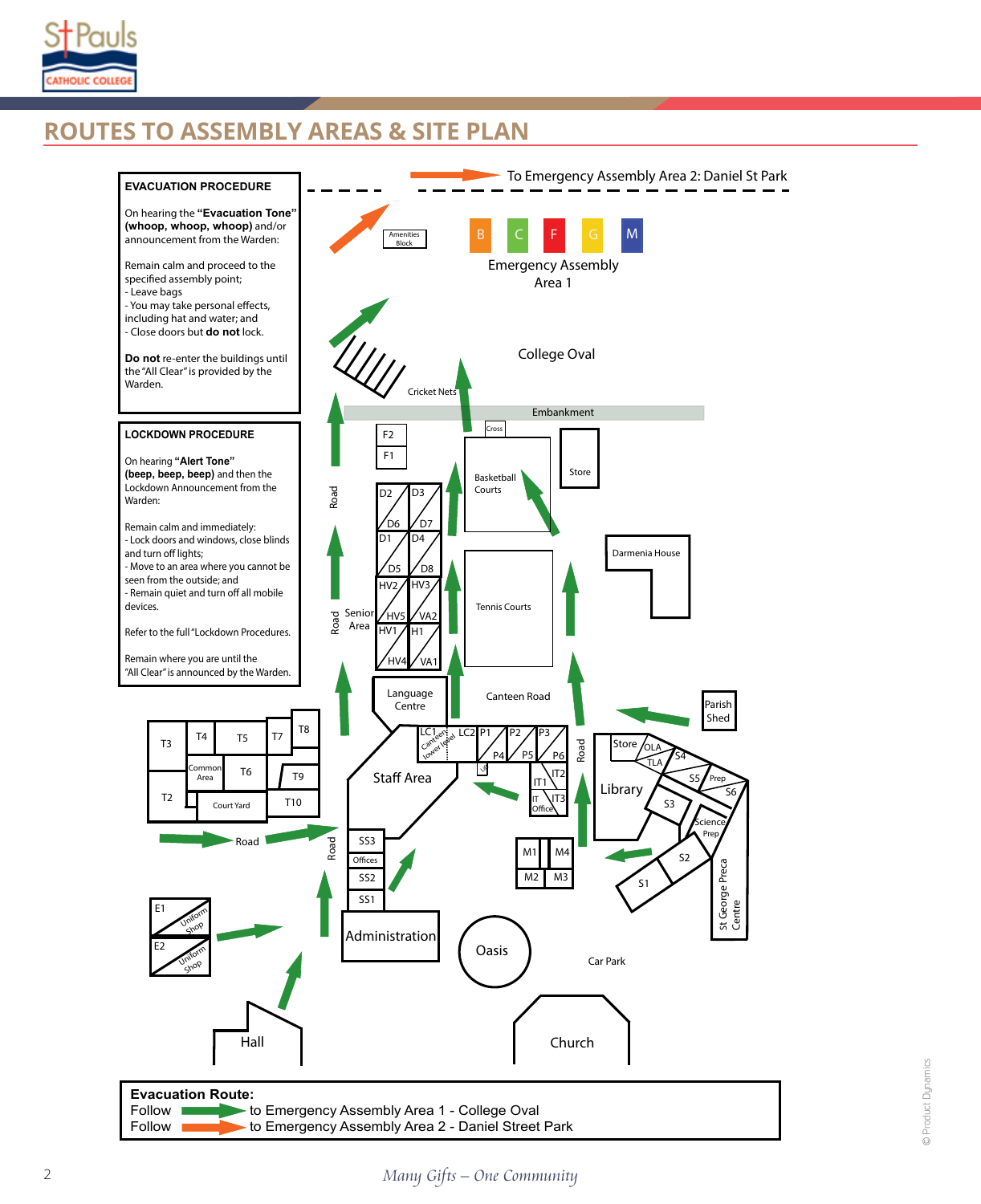

## **ROUTES TO ASSEMBLY AREAS & SITE PLAN ROUTES TO ASSEMBLY AREAS & SITE PLAN**

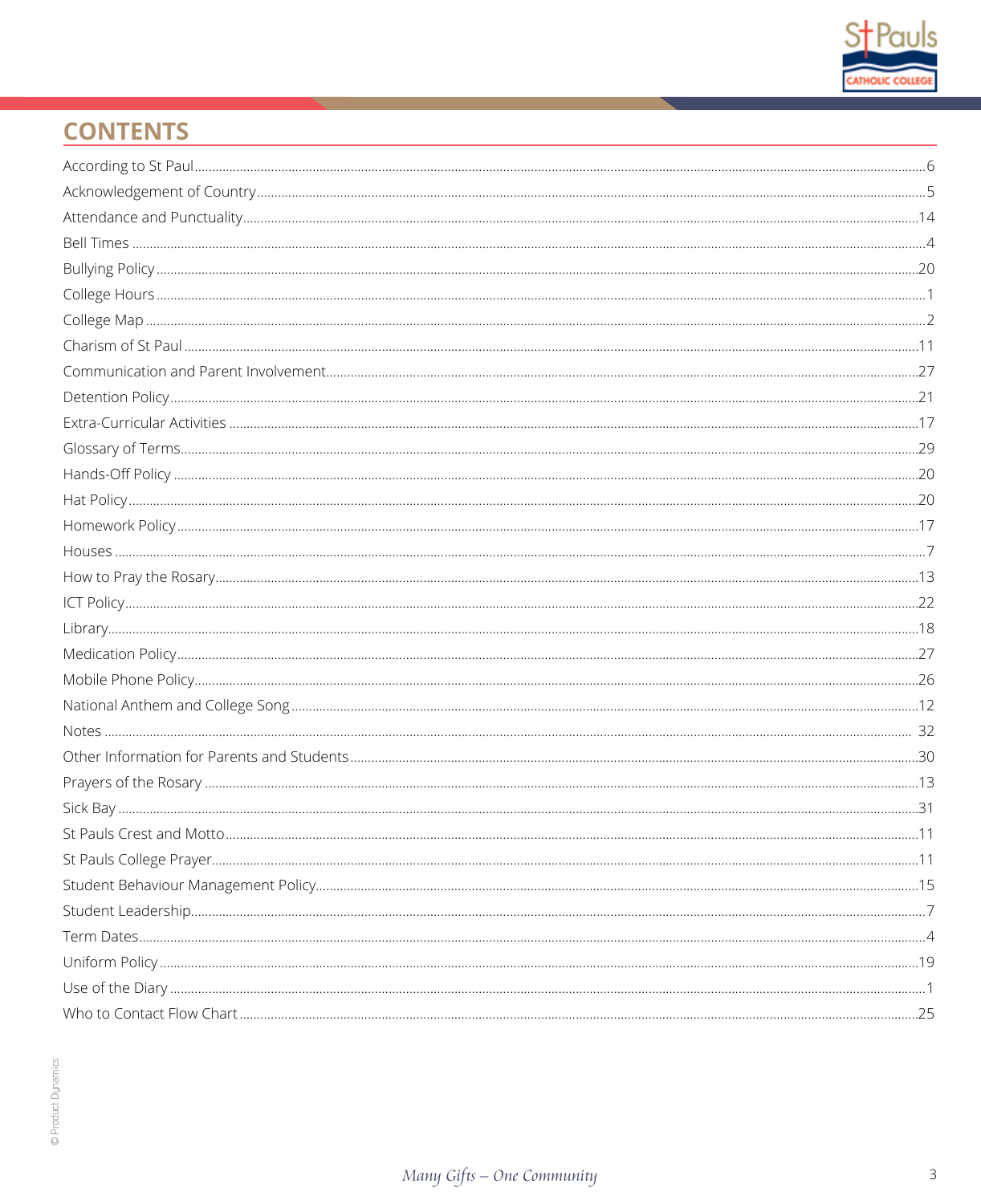

### **CONTENTS**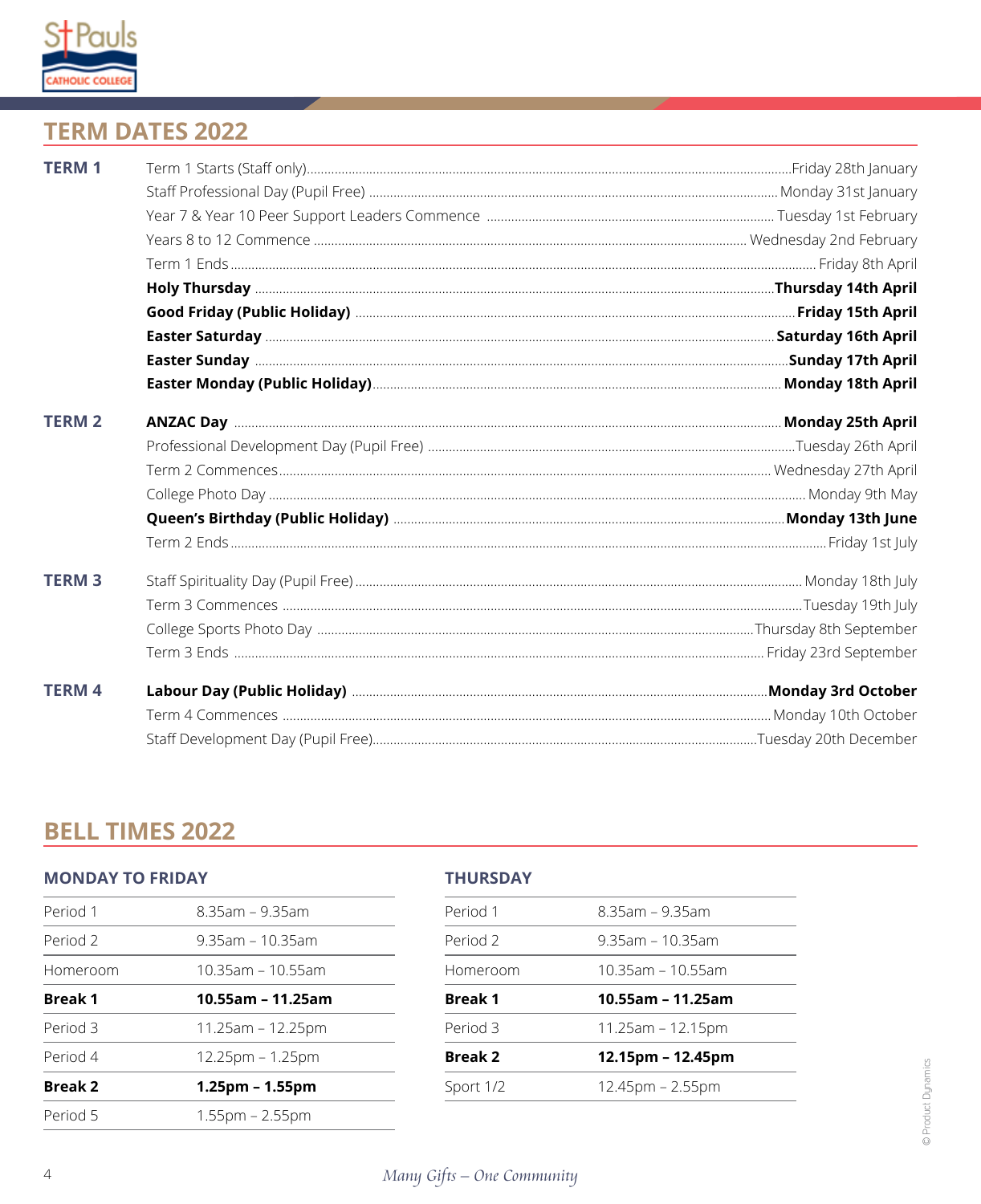

### **TERM DATES 2022**

| <b>TERM1</b>  |  |
|---------------|--|
|               |  |
|               |  |
|               |  |
|               |  |
|               |  |
|               |  |
|               |  |
|               |  |
|               |  |
| <b>TERM 2</b> |  |
|               |  |
|               |  |
|               |  |
|               |  |
|               |  |
| <b>TERM3</b>  |  |
|               |  |
|               |  |
|               |  |
| <b>TERM4</b>  |  |
|               |  |
|               |  |

### **BELL TIMES 2022**

#### **MONDAY TO FRIDAY**

| Period 1       | 8.35am – 9.35am     |
|----------------|---------------------|
| Period 2       | $9.35$ am – 10.35am |
| Homeroom       | 10.35am – 10.55am   |
| <b>Break 1</b> | 10.55am – 11.25am   |
| Period 3       | 11.25am - 12.25pm   |
| Period 4       | $12.25$ pm – 1.25pm |
| <b>Break 2</b> | $1.25pm - 1.55pm$   |
| Period 5       | 1.55pm - 2.55pm     |

#### **THURSDAY**

| Period 1       | 8.35am – 9.35am     |
|----------------|---------------------|
| Period 2       | $9.35$ am – 10.35am |
| Homeroom       | 10.35am – 10.55am   |
| <b>Break 1</b> | 10.55am – 11.25am   |
| Period 3       | 11.25am – 12.15pm   |
| <b>Break 2</b> | 12.15pm – 12.45pm   |
| Sport 1/2      | 12.45pm - 2.55pm    |
|                |                     |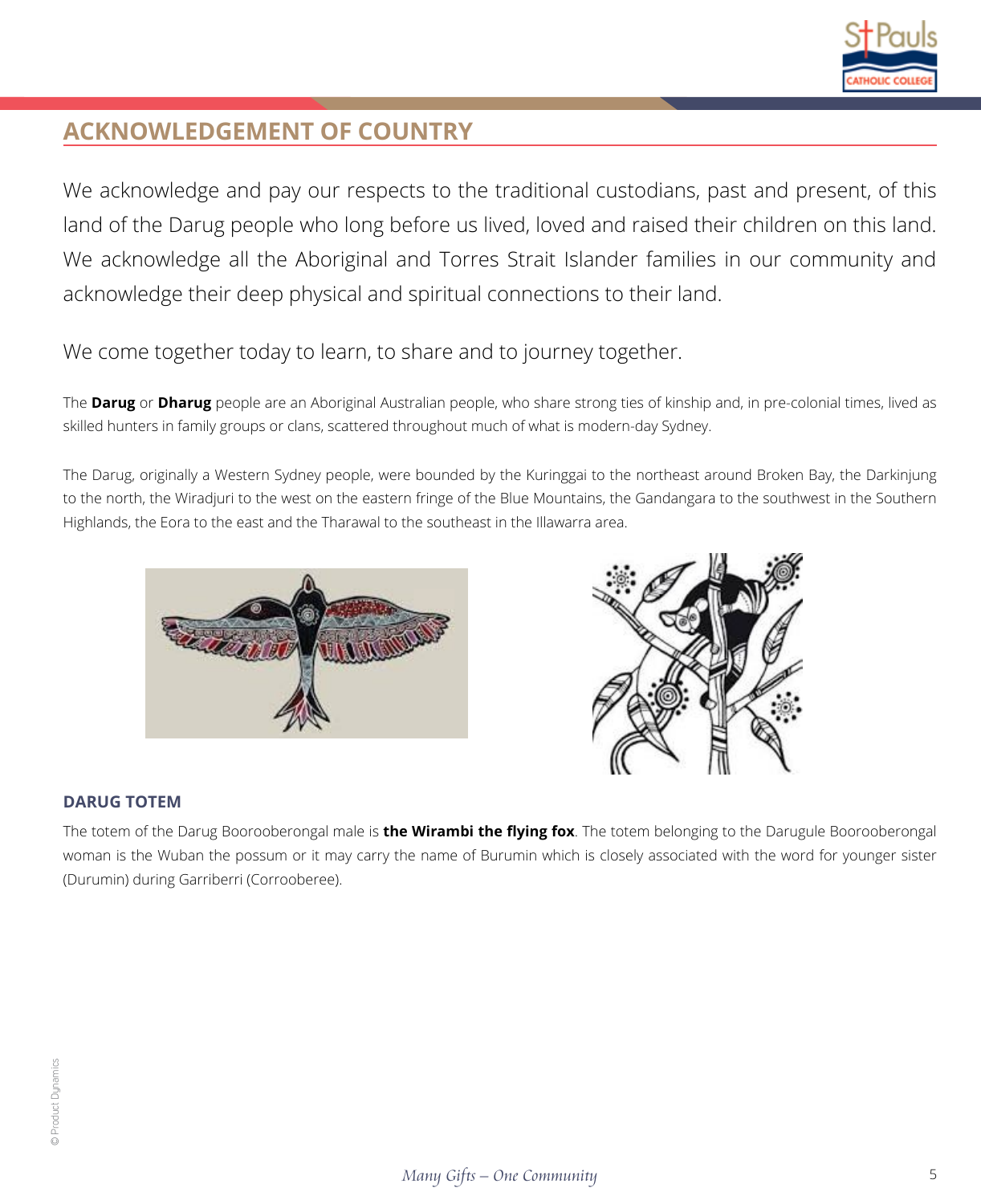

## **ACKNOWLEDGEMENT OF COUNTRY** community and acknowledge their deep physical and

We acknowledge and pay our respects to the traditional custodians, past and present, of this land of the Darug people who long before us lived, loved and raised their children on this land. We come together today to learn, to share and to We acknowledge all the Aboriginal and Torres Strait Islander families in our community and<br>selves whelm their deep physical and pointwel sease there to their land acknowledge their deep physical and spiritual connections to their land.

We come together today to learn, to share and to journey together. The person is easy to really to share an aboriginal Augustinal Augustinal Australian people, who share strong tie

The **Darug** or **Dharug** people are an Aboriginal Australian people, who share strong ties of kinship and, in pre-colonial times, lived as skilled hunters in family groups or clans, scattered throughout much of what is modern-day Sydney. throughout much of what is modern-day Sydney.

The Darug, originally a Western Sydney people, were bounded by the Kuringgai to the northeast around Broken Bay, the Darkinjung to the north, the Wiradjuri to the west on the eastern fringe of the Blue Mountains, the Gandangara to the southwest in the Southern Highlands, the Eora to the east and the Tharawal to the southeast in the Illawarra area.





#### **DARUG TOTEM**

The totem of the Darug Boorooberongal male is **the Wirambi the flying fox**. The totem belonging to the Darugule Boorooberongal woman is the Wuban the possum or it may carry the name of Burumin which is closely associated with the word for younger sister (Durumin) during Garriberri (Corrooberee).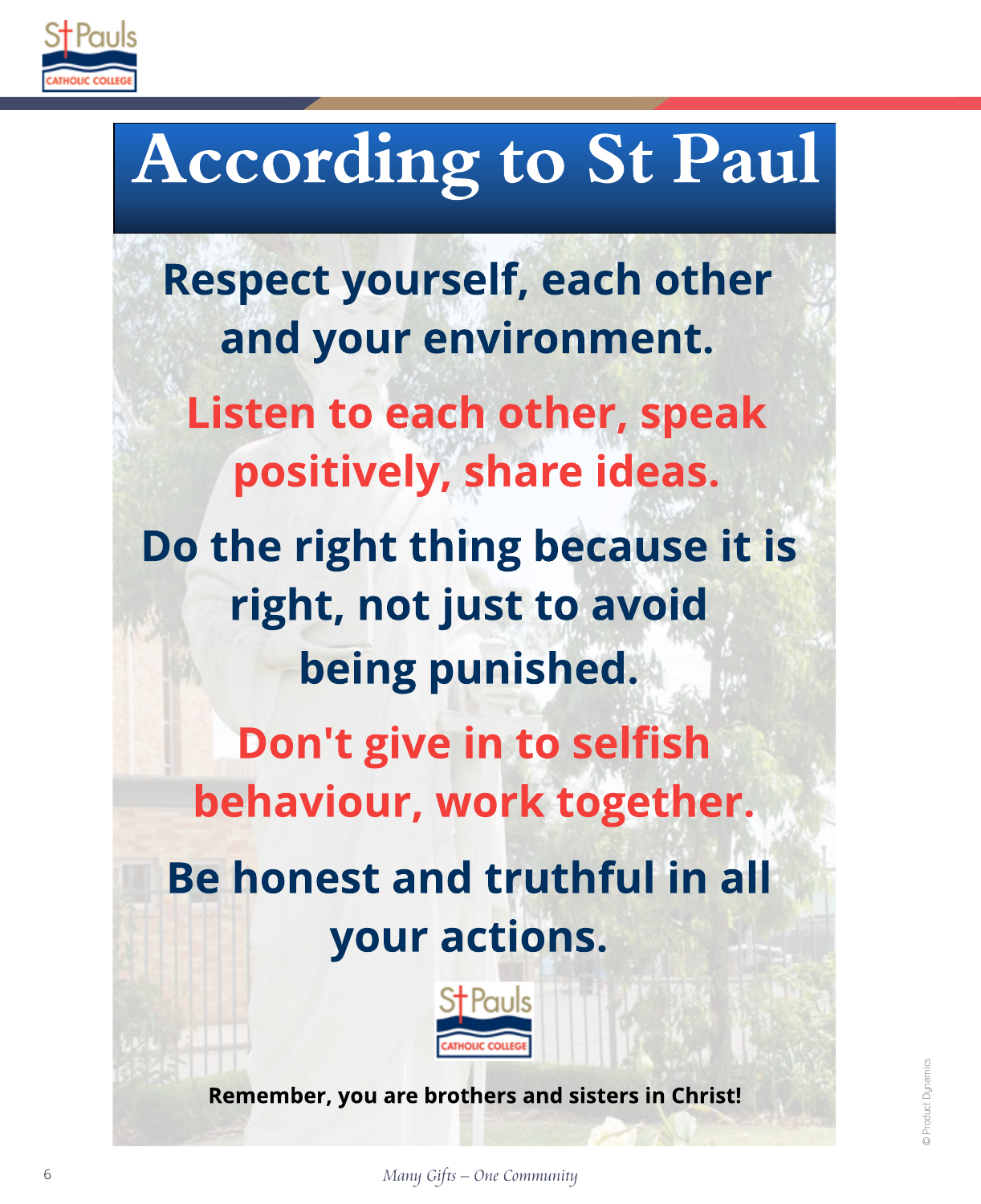

# **According to St Paul**

**Respect yourself, each other** and your environment.

**Listen to each other, speak** positively, share ideas. Do the right thing because it is right, not just to avoid being punished.

Don't give in to selfish behaviour, work together.

**Be honest and truthful in all** your actions.



Remember, you are brothers and sisters in Christ!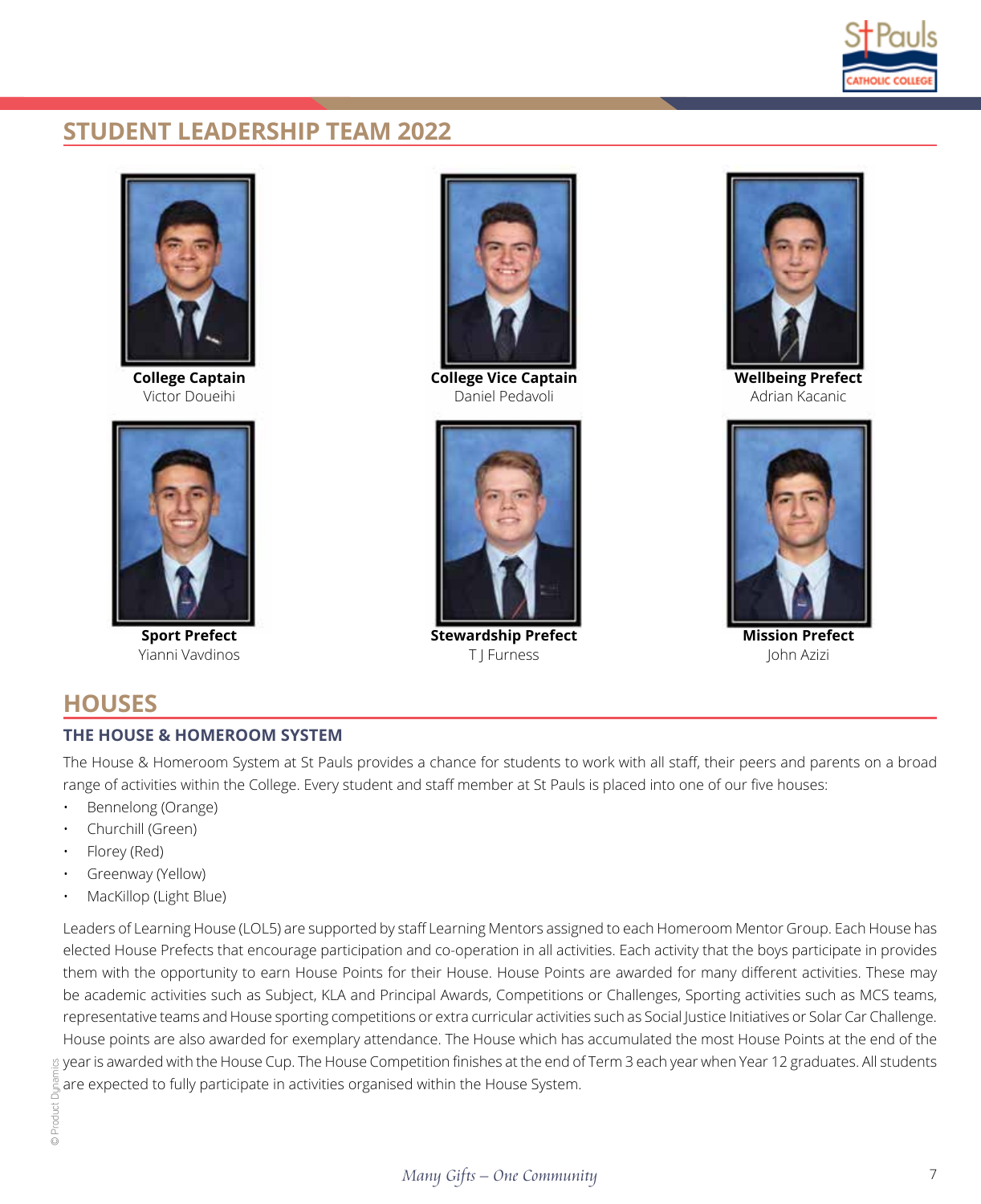

### **STUDENT LEADERSHIP TEAM 2022**



**College Captain** Victor Doueihi



**Sport Prefect** Yianni Vavdinos



**College Vice Captain** Daniel Pedavoli



**Stewardship Prefect** T J Furness



**Wellbeing Prefect** Adrian Kacanic



**Mission Prefect** John Azizi

### **HOUSES**

#### **THE HOUSE & HOMEROOM SYSTEM**

The House & Homeroom System at St Pauls provides a chance for students to work with all staff, their peers and parents on a broad range of activities within the College. Every student and staff member at St Pauls is placed into one of our five houses:

- Bennelong (Orange)
- Churchill (Green)
- Florey (Red)
- Greenway (Yellow)
- MacKillop (Light Blue)

Leaders of Learning House (LOL5) are supported by staff Learning Mentors assigned to each Homeroom Mentor Group. Each House has elected House Prefects that encourage participation and co-operation in all activities. Each activity that the boys participate in provides them with the opportunity to earn House Points for their House. House Points are awarded for many different activities. These may be academic activities such as Subject, KLA and Principal Awards, Competitions or Challenges, Sporting activities such as MCS teams, representative teams and House sporting competitions or extra curricular activities such as Social Justice Initiatives or Solar Car Challenge.

House points are also awarded for exemplary attendance. The House which has accumulated the most House Points at the end of the year is awarded with the House Cup. The House Competition finishes at the end of Term 3 each year when Year 12 graduates. All students are expected to fully participate in activities organised within the House System.

#### Many Gifts – One Community 7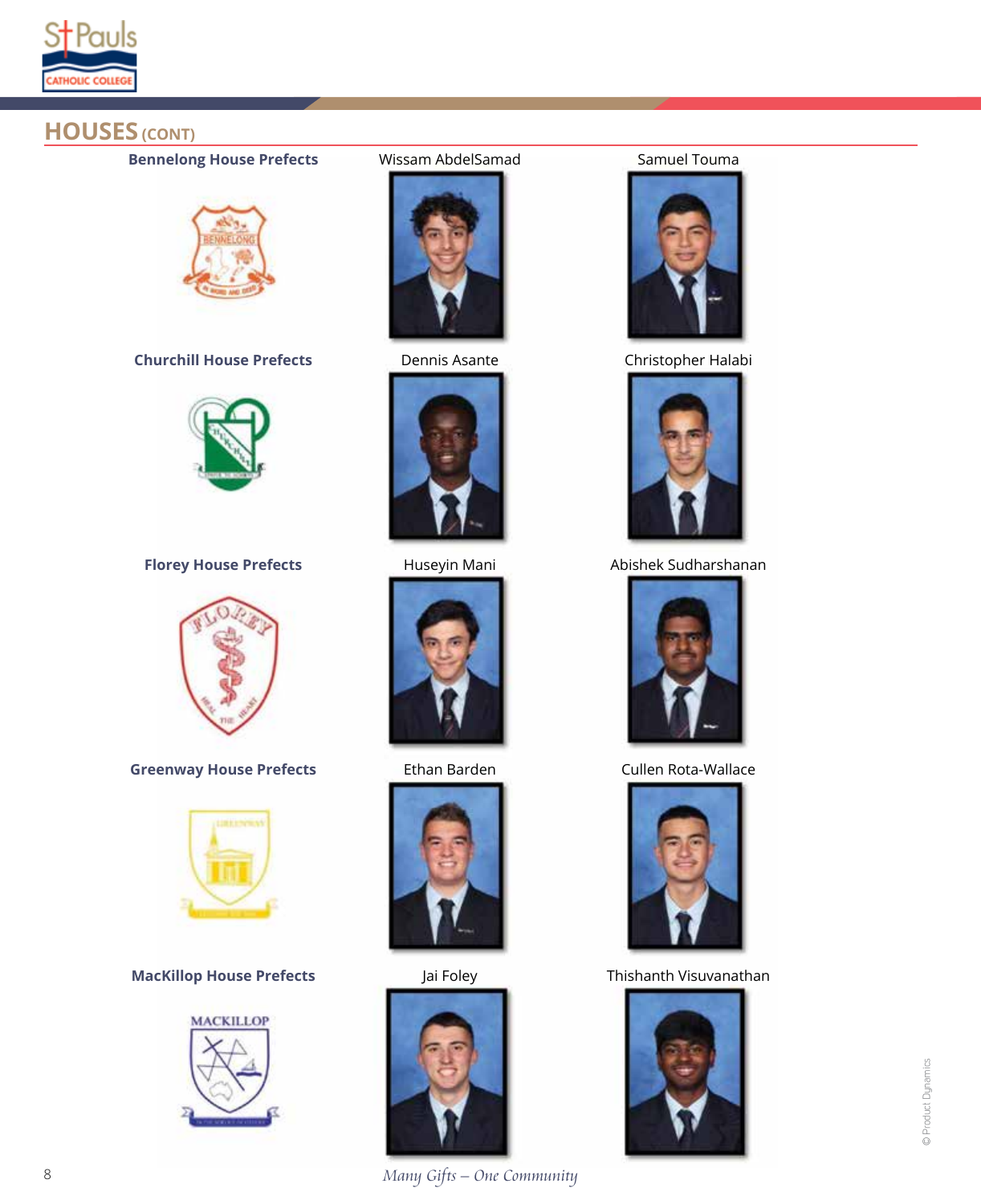

### **HOUSES (CONT)**

**Bennelong House Prefects**



#### **Churchill House Prefects**



**Florey House Prefects**



**Greenway House Prefects**



**MacKillop House Prefects**



#### Wissam AbdelSamad



Dennis Asante



### Huseyin Mani



Ethan Barden



Jai Foley



8 Many Gifts – One Community

#### Samuel Touma



Christopher Halabi



Abishek Sudharshanan



Cullen Rota-Wallace



Thishanth Visuvanathan

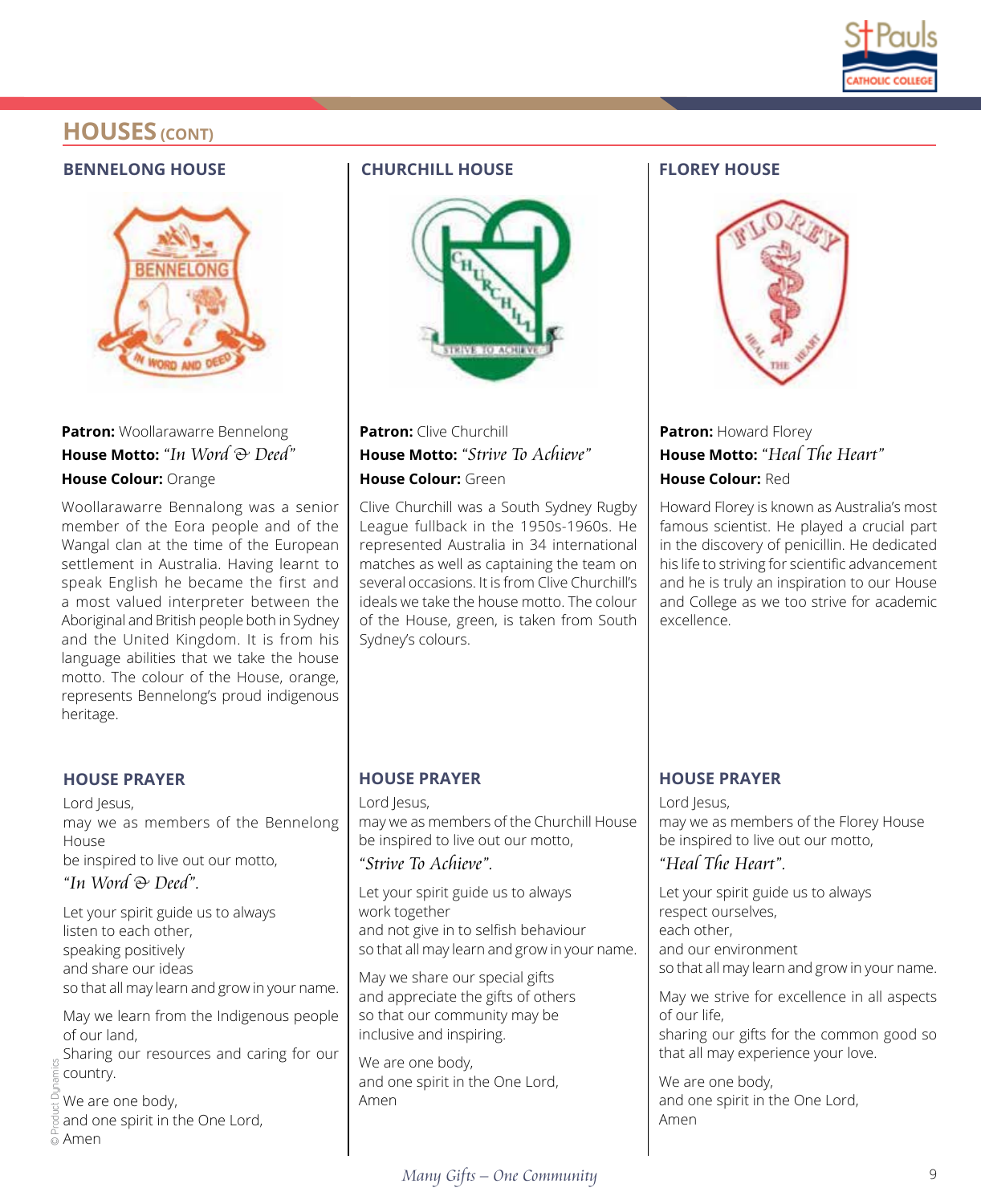

### **HOUSES (CONT)**

#### **BENNELONG HOUSE CHURCHILL HOUSE FLOREY HOUSE**



#### **Patron:** Woollarawarre Bennelong House Motto: "In Word  $\oplus$  Deed" **House Colour:** Orange

Woollarawarre Bennalong was a senior member of the Eora people and of the Wangal clan at the time of the European settlement in Australia. Having learnt to speak English he became the first and a most valued interpreter between the Aboriginal and British people both in Sydney and the United Kingdom. It is from his language abilities that we take the house motto. The colour of the House, orange, represents Bennelong's proud indigenous heritage.

#### **HOUSE PRAYER**

Lord Jesus, may we as members of the Bennelong House be inspired to live out our motto, "In Word & Deed".

Let your spirit guide us to always listen to each other, speaking positively and share our ideas so that all may learn and grow in your name.

May we learn from the Indigenous people of our land, Sharing our resources and caring for our

country.

We are one body, and one spirit in the One Lord, Amen © Product Dynamics



**Patron:** Clive Churchill **House Motto:** "Strive To Achieve" **House Colour:** Green

Clive Churchill was a South Sydney Rugby League fullback in the 1950s-1960s. He represented Australia in 34 international matches as well as captaining the team on several occasions. It is from Clive Churchill's ideals we take the house motto. The colour of the House, green, is taken from South Sydney's colours.

#### **HOUSE PRAYER**

Lord lesus, may we as members of the Churchill House be inspired to live out our motto,

#### "Strive To Achieve".

Let your spirit guide us to always work together and not give in to selfish behaviour so that all may learn and grow in your name.

May we share our special gifts and appreciate the gifts of others so that our community may be inclusive and inspiring.

We are one body, and one spirit in the One Lord, Amen



**Patron: Howard Florey House Motto:** "Heal The Heart" **House Colour:** Red

Howard Florey is known as Australia's most famous scientist. He played a crucial part in the discovery of penicillin. He dedicated his life to striving for scientific advancement and he is truly an inspiration to our House and College as we too strive for academic excellence.

#### **HOUSE PRAYER**

Lord lesus, may we as members of the Florey House be inspired to live out our motto,

#### "Heal The Heart".

Let your spirit guide us to always respect ourselves, each other, and our environment so that all may learn and grow in your name.

May we strive for excellence in all aspects of our life,

sharing our gifts for the common good so that all may experience your love.

We are one body, and one spirit in the One Lord, Amen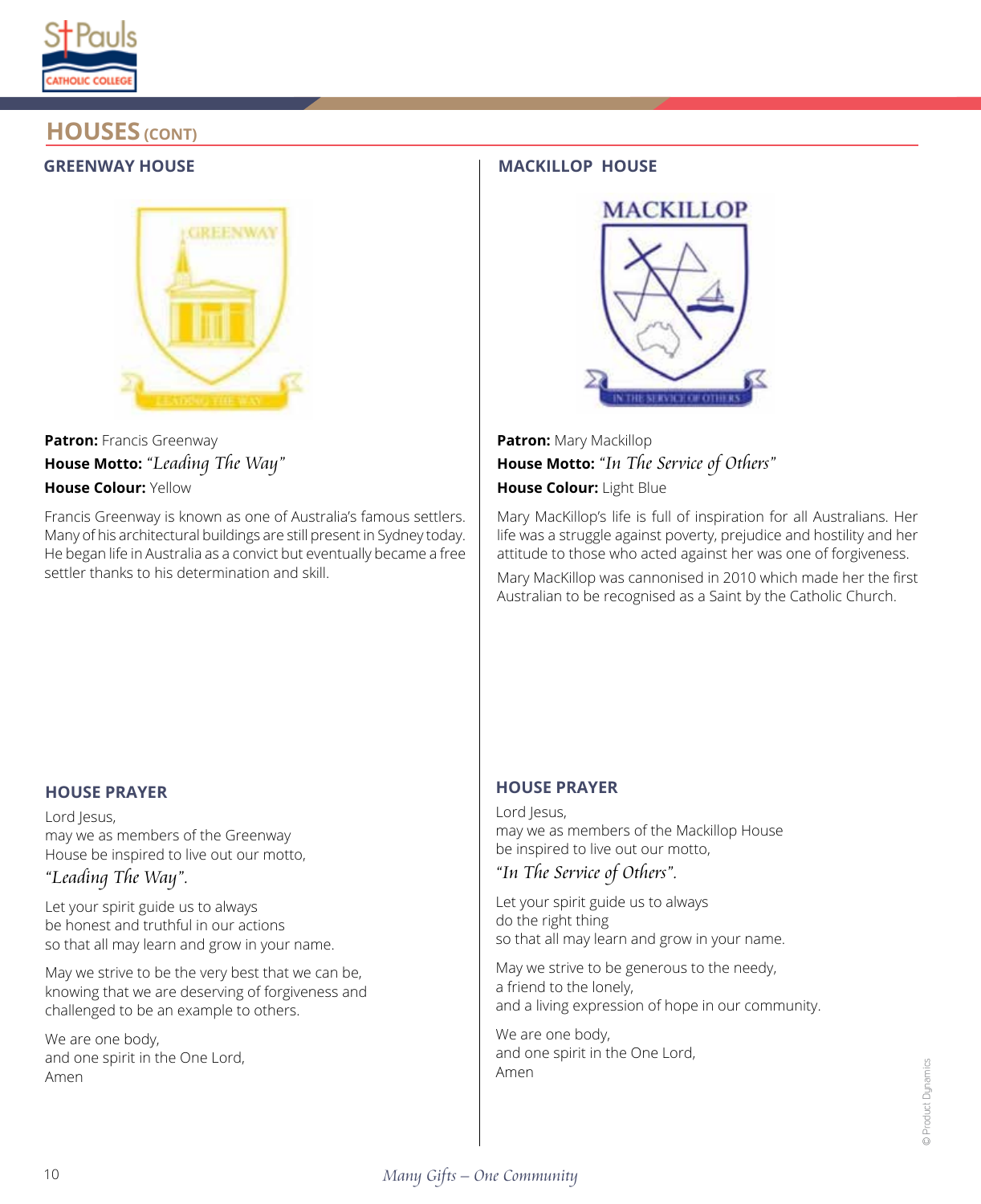

### **HOUSES (CONT)**



#### **Patron: Francis Greenway House Motto:** "Leading The Way" **House Colour:** Yellow

Francis Greenway is known as one of Australia's famous settlers. Many of his architectural buildings are still present in Sydney today. He began life in Australia as a convict but eventually became a free settler thanks to his determination and skill.

#### **GREENWAY HOUSE AND RESIDENT STATES AND RESIDENT MACKILLOP HOUSE**



#### **Patron:** Mary Mackillop **House Motto:** "In The Service of Others" **House Colour:** Light Blue

Mary MacKillop's life is full of inspiration for all Australians. Her life was a struggle against poverty, prejudice and hostility and her attitude to those who acted against her was one of forgiveness.

Mary MacKillop was cannonised in 2010 which made her the first Australian to be recognised as a Saint by the Catholic Church.

#### **HOUSE PRAYER**

Lord Jesus, may we as members of the Greenway House be inspired to live out our motto,

#### "Leading The Way".

Let your spirit guide us to always be honest and truthful in our actions so that all may learn and grow in your name.

May we strive to be the very best that we can be, knowing that we are deserving of forgiveness and challenged to be an example to others.

We are one body, and one spirit in the One Lord, Amen

#### **HOUSE PRAYER**

Lord lesus, may we as members of the Mackillop House be inspired to live out our motto, "In The Service of Others".

Let your spirit guide us to always do the right thing so that all may learn and grow in your name.

May we strive to be generous to the needy, a friend to the lonely, and a living expression of hope in our community.

We are one body, and one spirit in the One Lord, Amen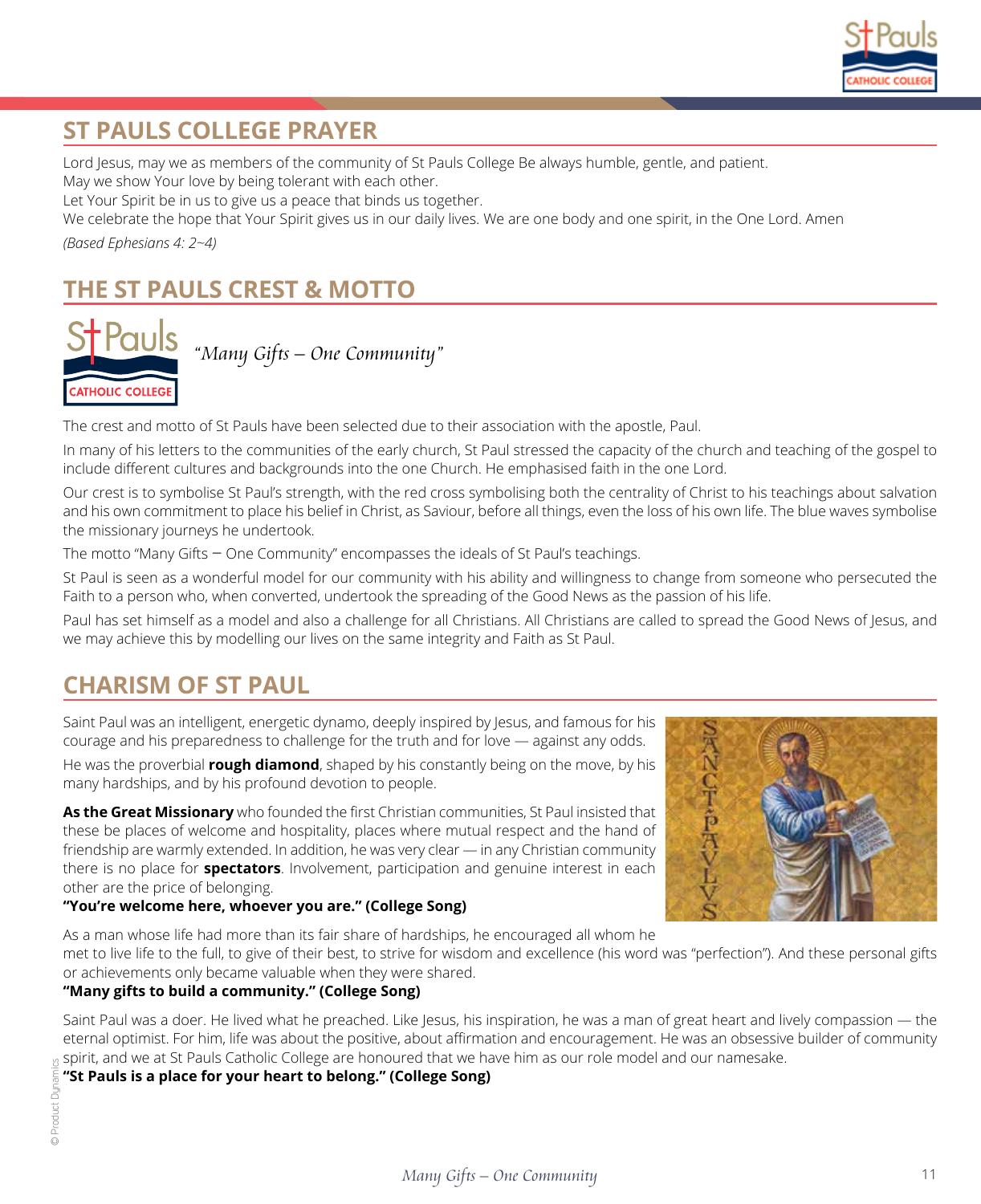

### **ST PAULS COLLEGE PRAYER**

Lord Jesus, may we as members of the community of St Pauls College Be always humble, gentle, and patient.

May we show Your love by being tolerant with each other.

Let Your Spirit be in us to give us a peace that binds us together.

We celebrate the hope that Your Spirit gives us in our daily lives. We are one body and one spirit, in the One Lord. Amen

*(Based Ephesians 4: 2~4)*

### **THE ST PAULS CREST & MOTTO**

# S<sup>+</sup> Pauls "Many Gifts – One Community" CATHOLIC COLLEC

The crest and motto of St Pauls have been selected due to their association with the apostle, Paul.

In many of his letters to the communities of the early church, St Paul stressed the capacity of the church and teaching of the gospel to include different cultures and backgrounds into the one Church. He emphasised faith in the one Lord.

Our crest is to symbolise St Paul's strength, with the red cross symbolising both the centrality of Christ to his teachings about salvation and his own commitment to place his belief in Christ, as Saviour, before all things, even the loss of his own life. The blue waves symbolise the missionary journeys he undertook.

The motto "Many Gifts – One Community" encompasses the ideals of St Paul's teachings.

St Paul is seen as a wonderful model for our community with his ability and willingness to change from someone who persecuted the Faith to a person who, when converted, undertook the spreading of the Good News as the passion of his life.

Paul has set himself as a model and also a challenge for all Christians. All Christians are called to spread the Good News of Jesus, and we may achieve this by modelling our lives on the same integrity and Faith as St Paul.

### **CHARISM OF ST PAUL**

Saint Paul was an intelligent, energetic dynamo, deeply inspired by Jesus, and famous for his courage and his preparedness to challenge for the truth and for love — against any odds.

He was the proverbial **rough diamond**, shaped by his constantly being on the move, by his many hardships, and by his profound devotion to people.

**As the Great Missionary** who founded the first Christian communities, St Paul insisted that these be places of welcome and hospitality, places where mutual respect and the hand of friendship are warmly extended. In addition, he was very clear — in any Christian community there is no place for **spectators**. Involvement, participation and genuine interest in each other are the price of belonging.

#### **"You're welcome here, whoever you are." (College Song)**



As a man whose life had more than its fair share of hardships, he encouraged all whom he

met to live life to the full, to give of their best, to strive for wisdom and excellence (his word was "perfection"). And these personal gifts or achievements only became valuable when they were shared.

#### **"Many gifts to build a community." (College Song)**

Saint Paul was a doer. He lived what he preached. Like Jesus, his inspiration, he was a man of great heart and lively compassion — the eternal optimist. For him, life was about the positive, about affirmation and encouragement. He was an obsessive builder of community spirit, and we at St Pauls Catholic College are honoured that we have him as our role model and our namesake.

#### **"St Pauls is a place for your heart to belong." (College Song)**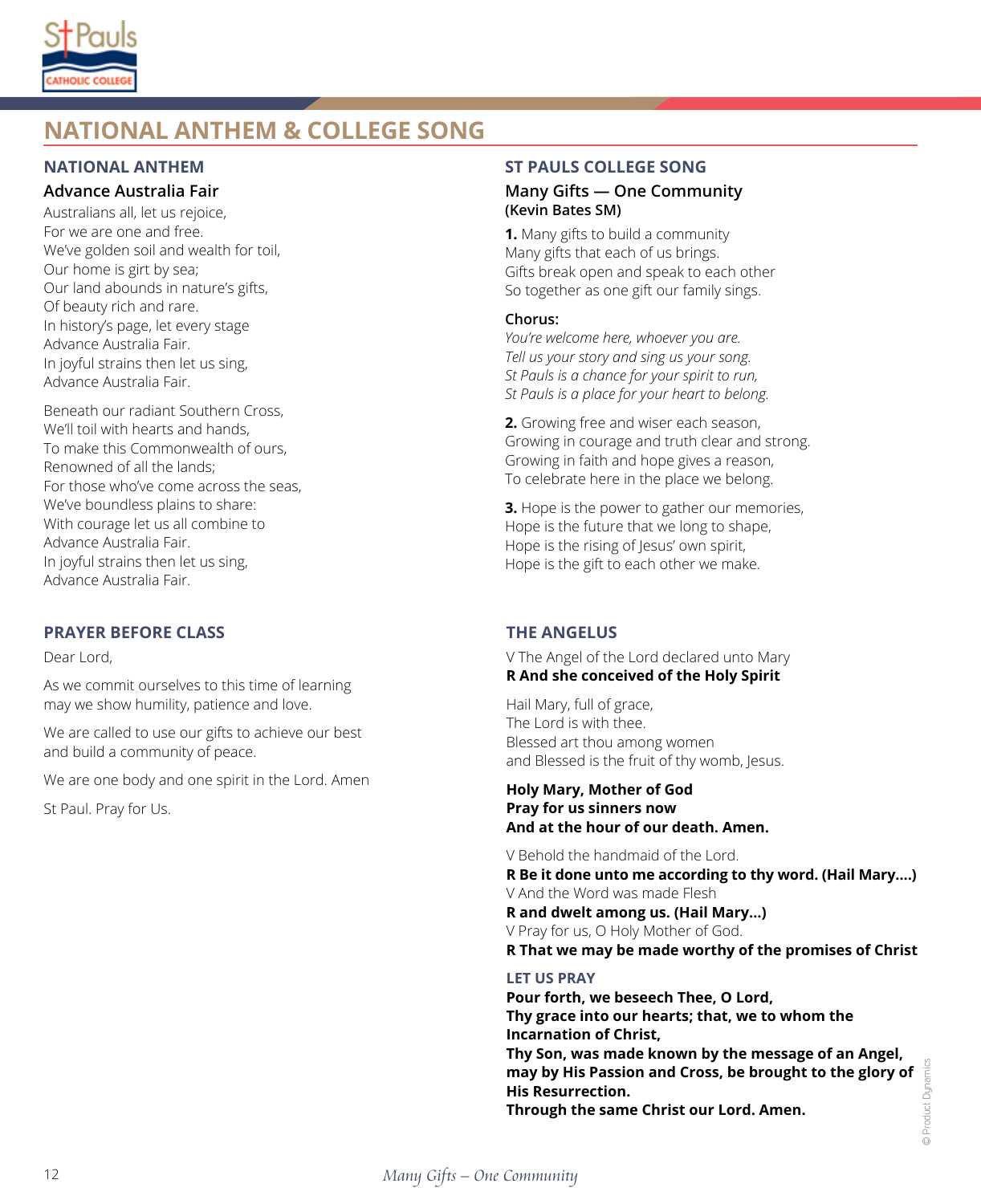

### **NATIONAL ANTHEM & COLLEGE SONG**

#### **NATIONAL ANTHEM**

#### **Advance Australia Fair**

Australians all, let us rejoice, For we are one and free. We've golden soil and wealth for toil, Our home is girt by sea; Our land abounds in nature's gifts, Of beauty rich and rare. In history's page, let every stage Advance Australia Fair. In joyful strains then let us sing, Advance Australia Fair.

Beneath our radiant Southern Cross, We'll toil with hearts and hands, To make this Commonwealth of ours, Renowned of all the lands; For those who've come across the seas, We've boundless plains to share: With courage let us all combine to Advance Australia Fair. In joyful strains then let us sing, Advance Australia Fair.

#### **PRAYER BEFORE CLASS**

#### Dear Lord,

As we commit ourselves to this time of learning may we show humility, patience and love.

We are called to use our gifts to achieve our best and build a community of peace.

We are one body and one spirit in the Lord. Amen

St Paul. Pray for Us.

#### **ST PAULS COLLEGE SONG**

#### **Many Gifts — One Community (Kevin Bates SM)**

**1.** Many gifts to build a community Many gifts that each of us brings. Gifts break open and speak to each other So together as one gift our family sings.

#### **Chorus:**

*You're welcome here, whoever you are. Tell us your story and sing us your song. St Pauls is a chance for your spirit to run, St Pauls is a place for your heart to belong.* 

**2.** Growing free and wiser each season, Growing in courage and truth clear and strong. Growing in faith and hope gives a reason, To celebrate here in the place we belong.

**3.** Hope is the power to gather our memories, Hope is the future that we long to shape, Hope is the rising of Jesus' own spirit, Hope is the gift to each other we make.

#### **THE ANGELUS**

V The Angel of the Lord declared unto Mary **R And she conceived of the Holy Spirit**

Hail Mary, full of grace, The Lord is with thee. Blessed art thou among women and Blessed is the fruit of thy womb, Jesus.

#### **Holy Mary, Mother of God Pray for us sinners now And at the hour of our death. Amen.**

V Behold the handmaid of the Lord. **R Be it done unto me according to thy word. (Hail Mary….)** V And the Word was made Flesh **R and dwelt among us. (Hail Mary…)** V Pray for us, O Holy Mother of God. **R That we may be made worthy of the promises of Christ**

#### **LET US PRAY**

**Pour forth, we beseech Thee, O Lord, Thy grace into our hearts; that, we to whom the Incarnation of Christ, Thy Son, was made known by the message of an Angel, may by His Passion and Cross, be brought to the glory of His Resurrection.**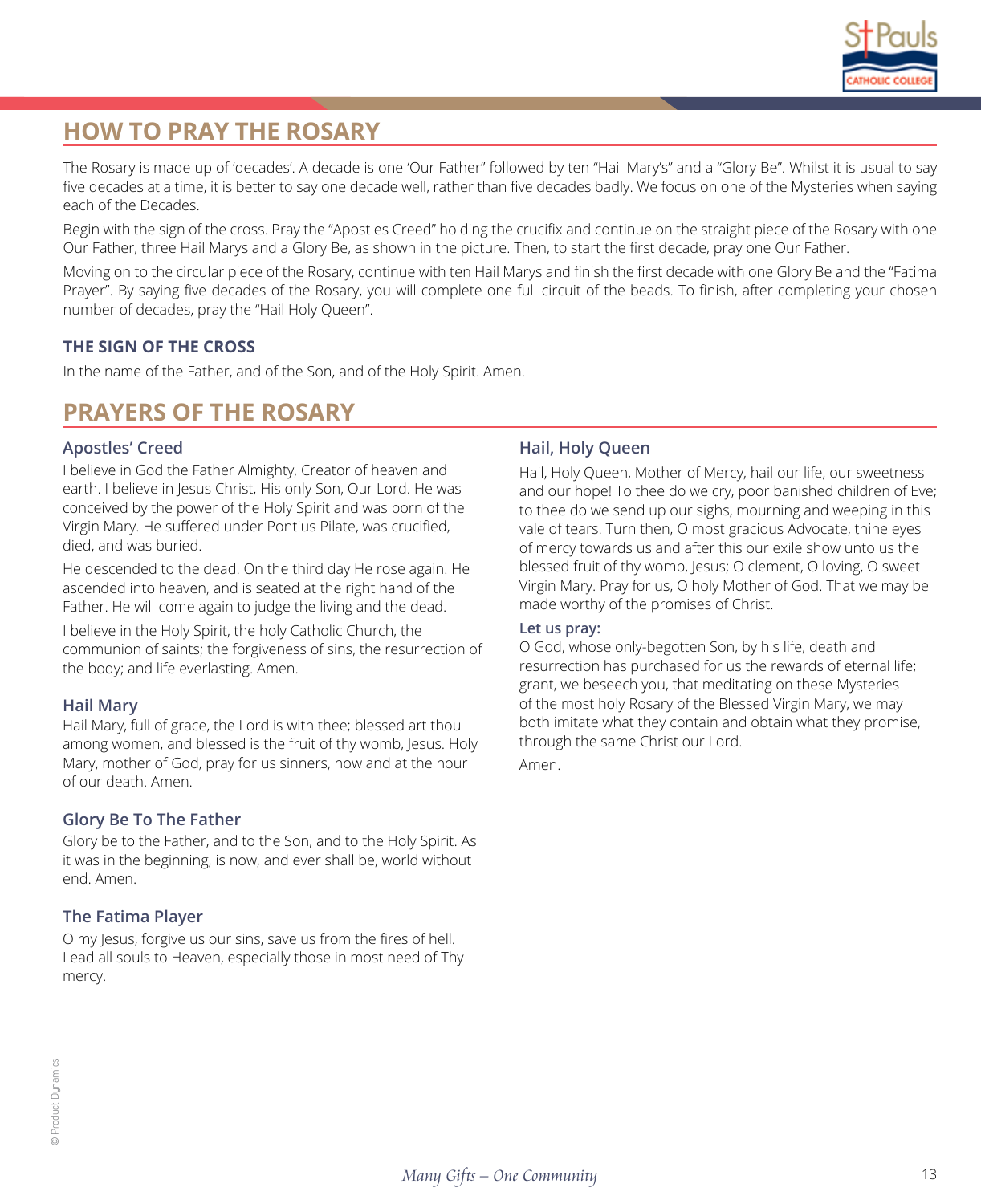

### **HOW TO PRAY THE ROSARY**

The Rosary is made up of 'decades'. A decade is one 'Our Father" followed by ten "Hail Mary's" and a "Glory Be". Whilst it is usual to say five decades at a time, it is better to say one decade well, rather than five decades badly. We focus on one of the Mysteries when saying each of the Decades.

Begin with the sign of the cross. Pray the "Apostles Creed" holding the crucifix and continue on the straight piece of the Rosary with one Our Father, three Hail Marys and a Glory Be, as shown in the picture. Then, to start the first decade, pray one Our Father.

Moving on to the circular piece of the Rosary, continue with ten Hail Marys and finish the first decade with one Glory Be and the "Fatima Prayer". By saying five decades of the Rosary, you will complete one full circuit of the beads. To finish, after completing your chosen number of decades, pray the "Hail Holy Queen".

#### **THE SIGN OF THE CROSS**

In the name of the Father, and of the Son, and of the Holy Spirit. Amen.

### **PRAYERS OF THE ROSARY**

#### **Apostles' Creed**

I believe in God the Father Almighty, Creator of heaven and earth. I believe in Jesus Christ, His only Son, Our Lord. He was conceived by the power of the Holy Spirit and was born of the Virgin Mary. He suffered under Pontius Pilate, was crucified, died, and was buried.

He descended to the dead. On the third day He rose again. He ascended into heaven, and is seated at the right hand of the Father. He will come again to judge the living and the dead.

I believe in the Holy Spirit, the holy Catholic Church, the communion of saints; the forgiveness of sins, the resurrection of the body; and life everlasting. Amen.

#### **Hail Mary**

Hail Mary, full of grace, the Lord is with thee; blessed art thou among women, and blessed is the fruit of thy womb, Jesus. Holy Mary, mother of God, pray for us sinners, now and at the hour of our death. Amen.

#### **Glory Be To The Father**

Glory be to the Father, and to the Son, and to the Holy Spirit. As it was in the beginning, is now, and ever shall be, world without end. Amen.

#### **The Fatima Player**

O my Jesus, forgive us our sins, save us from the fires of hell. Lead all souls to Heaven, especially those in most need of Thy mercy.

#### **Hail, Holy Queen**

Hail, Holy Queen, Mother of Mercy, hail our life, our sweetness and our hope! To thee do we cry, poor banished children of Eve; to thee do we send up our sighs, mourning and weeping in this vale of tears. Turn then, O most gracious Advocate, thine eyes of mercy towards us and after this our exile show unto us the blessed fruit of thy womb, Jesus; O clement, O loving, O sweet Virgin Mary. Pray for us, O holy Mother of God. That we may be made worthy of the promises of Christ.

#### **Let us pray:**

O God, whose only-begotten Son, by his life, death and resurrection has purchased for us the rewards of eternal life; grant, we beseech you, that meditating on these Mysteries of the most holy Rosary of the Blessed Virgin Mary, we may both imitate what they contain and obtain what they promise, through the same Christ our Lord.

Amen.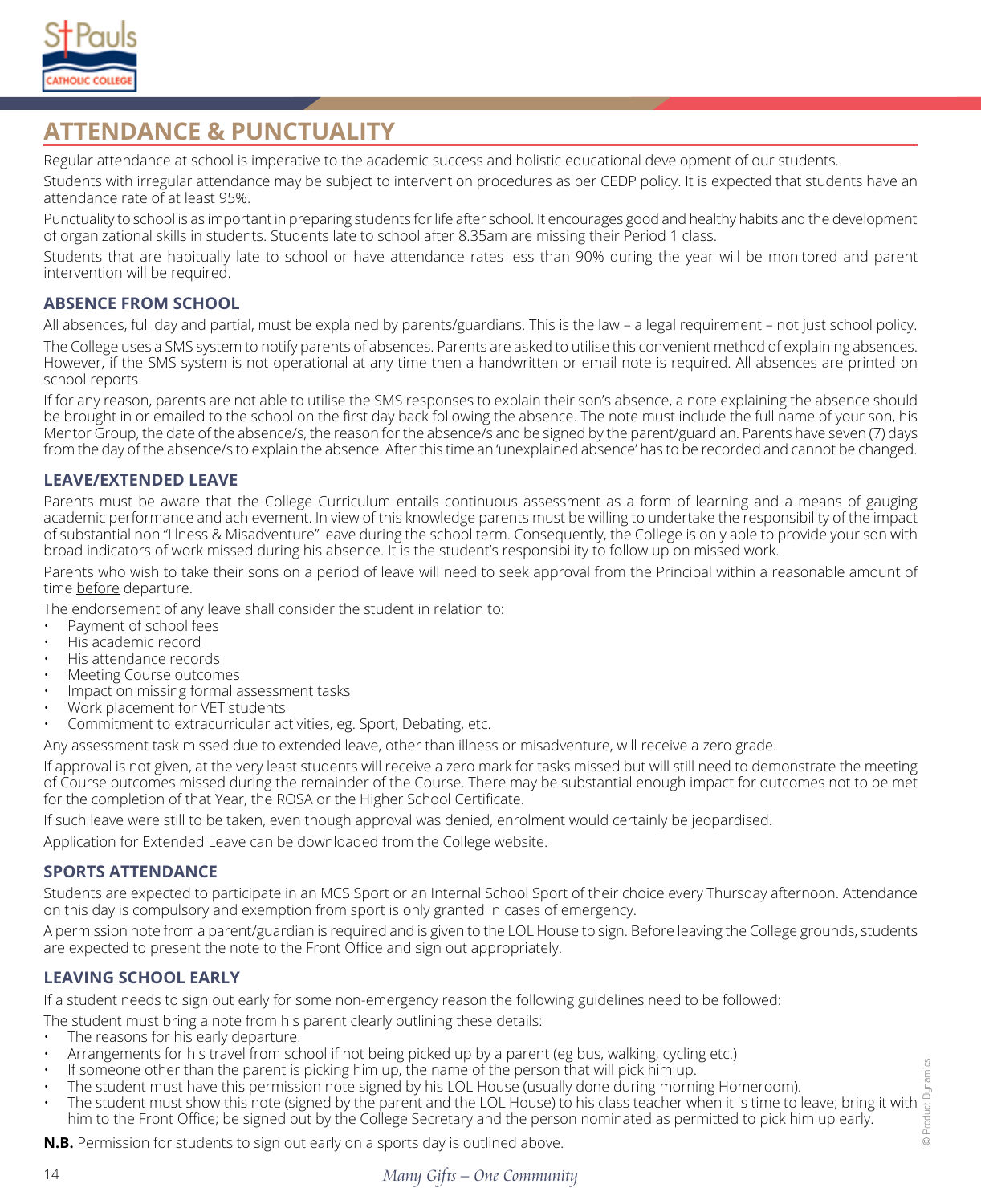

### **ATTENDANCE & PUNCTUALITY**

Regular attendance at school is imperative to the academic success and holistic educational development of our students.

Students with irregular attendance may be subject to intervention procedures as per CEDP policy. It is expected that students have an attendance rate of at least 95%.

Punctuality to school is as important in preparing students for life after school. It encourages good and healthy habits and the development of organizational skills in students. Students late to school after 8.35am are missing their Period 1 class.

Students that are habitually late to school or have attendance rates less than 90% during the year will be monitored and parent intervention will be required.

#### **ABSENCE FROM SCHOOL**

All absences, full day and partial, must be explained by parents/guardians. This is the law – a legal requirement – not just school policy. The College uses a SMS system to notify parents of absences. Parents are asked to utilise this convenient method of explaining absences. However, if the SMS system is not operational at any time then a handwritten or email note is required. All absences are printed on school reports.

If for any reason, parents are not able to utilise the SMS responses to explain their son's absence, a note explaining the absence should be brought in or emailed to the school on the first day back following the absence. The note must include the full name of your son, his Mentor Group, the date of the absence/s, the reason for the absence/s and be signed by the parent/guardian. Parents have seven (7) days from the day of the absence/s to explain the absence. After this time an 'unexplained absence' has to be recorded and cannot be changed.

#### **LEAVE/EXTENDED LEAVE**

Parents must be aware that the College Curriculum entails continuous assessment as a form of learning and a means of gauging academic performance and achievement. In view of this knowledge parents must be willing to undertake the responsibility of the impact of substantial non "Illness & Misadventure" leave during the school term. Consequently, the College is only able to provide your son with broad indicators of work missed during his absence. It is the student's responsibility to follow up on missed work.

Parents who wish to take their sons on a period of leave will need to seek approval from the Principal within a reasonable amount of time before departure.

The endorsement of any leave shall consider the student in relation to:

- Payment of school fees
- His academic record
- His attendance records
- Meeting Course outcomes
- Impact on missing formal assessment tasks
- Work placement for VET students
- Commitment to extracurricular activities, eg. Sport, Debating, etc.

Any assessment task missed due to extended leave, other than illness or misadventure, will receive a zero grade.

If approval is not given, at the very least students will receive a zero mark for tasks missed but will still need to demonstrate the meeting of Course outcomes missed during the remainder of the Course. There may be substantial enough impact for outcomes not to be met for the completion of that Year, the ROSA or the Higher School Certificate.

If such leave were still to be taken, even though approval was denied, enrolment would certainly be jeopardised.

Application for Extended Leave can be downloaded from the College website.

#### **SPORTS ATTENDANCE**

Students are expected to participate in an MCS Sport or an Internal School Sport of their choice every Thursday afternoon. Attendance on this day is compulsory and exemption from sport is only granted in cases of emergency.

A permission note from a parent/guardian is required and is given to the LOL House to sign. Before leaving the College grounds, students are expected to present the note to the Front Office and sign out appropriately.

#### **LEAVING SCHOOL EARLY**

If a student needs to sign out early for some non-emergency reason the following guidelines need to be followed:

The student must bring a note from his parent clearly outlining these details:

- The reasons for his early departure.
- Arrangements for his travel from school if not being picked up by a parent (eg bus, walking, cycling etc.)
- If someone other than the parent is picking him up, the name of the person that will pick him up.
- The student must have this permission note signed by his LOL House (usually done during morning Homeroom).
- If someone other than the parent is picking him up, the name of the person that will pick him up.<br>The student must have this permission note signed by his LOL House (usually done during morning Homeroom).<br>The student must him to the Front Office; be signed out by the College Secretary and the person nominated as permitted to pick him up early.

**N.B.** Permission for students to sign out early on a sports day is outlined above.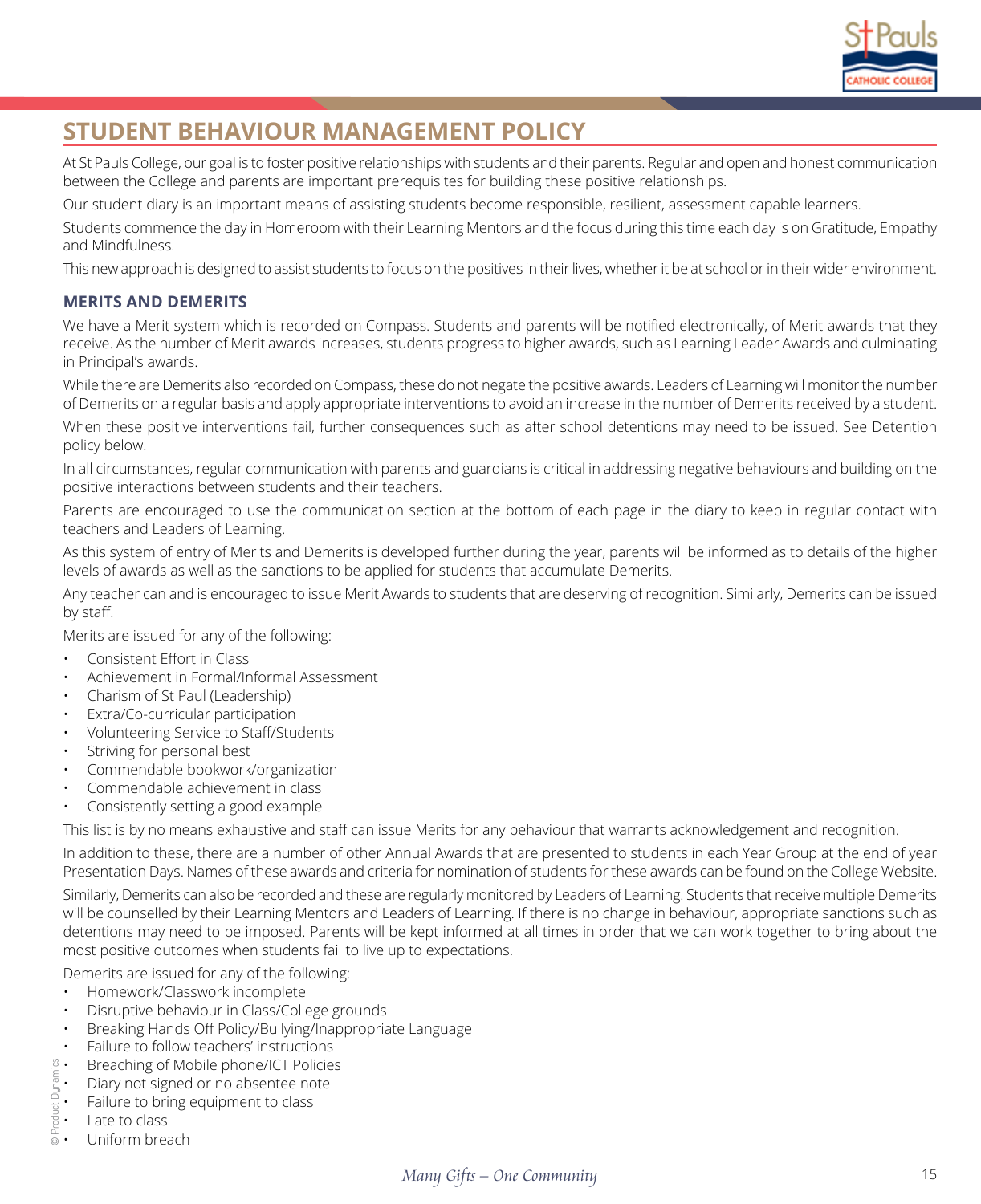

### **STUDENT BEHAVIOUR MANAGEMENT POLICY**

At St Pauls College, our goal is to foster positive relationships with students and their parents. Regular and open and honest communication between the College and parents are important prerequisites for building these positive relationships.

Our student diary is an important means of assisting students become responsible, resilient, assessment capable learners.

Students commence the day in Homeroom with their Learning Mentors and the focus during this time each day is on Gratitude, Empathy and Mindfulness.

This new approach is designed to assist students to focus on the positives in their lives, whether it be at school or in their wider environment.

#### **MERITS AND DEMERITS**

We have a Merit system which is recorded on Compass. Students and parents will be notified electronically, of Merit awards that they receive. As the number of Merit awards increases, students progress to higher awards, such as Learning Leader Awards and culminating in Principal's awards.

While there are Demerits also recorded on Compass, these do not negate the positive awards. Leaders of Learning will monitor the number of Demerits on a regular basis and apply appropriate interventions to avoid an increase in the number of Demerits received by a student.

When these positive interventions fail, further consequences such as after school detentions may need to be issued. See Detention policy below.

In all circumstances, regular communication with parents and guardians is critical in addressing negative behaviours and building on the positive interactions between students and their teachers.

Parents are encouraged to use the communication section at the bottom of each page in the diary to keep in regular contact with teachers and Leaders of Learning.

As this system of entry of Merits and Demerits is developed further during the year, parents will be informed as to details of the higher levels of awards as well as the sanctions to be applied for students that accumulate Demerits.

Any teacher can and is encouraged to issue Merit Awards to students that are deserving of recognition. Similarly, Demerits can be issued by staff.

Merits are issued for any of the following:

- Consistent Effort in Class
- Achievement in Formal/Informal Assessment
- Charism of St Paul (Leadership)
- Extra/Co-curricular participation
- Volunteering Service to Staff/Students
- Striving for personal best
- Commendable bookwork/organization
- Commendable achievement in class
- Consistently setting a good example

This list is by no means exhaustive and staff can issue Merits for any behaviour that warrants acknowledgement and recognition.

In addition to these, there are a number of other Annual Awards that are presented to students in each Year Group at the end of year Presentation Days. Names of these awards and criteria for nomination of students for these awards can be found on the College Website.

Similarly, Demerits can also be recorded and these are regularly monitored by Leaders of Learning. Students that receive multiple Demerits will be counselled by their Learning Mentors and Leaders of Learning. If there is no change in behaviour, appropriate sanctions such as detentions may need to be imposed. Parents will be kept informed at all times in order that we can work together to bring about the most positive outcomes when students fail to live up to expectations.

Demerits are issued for any of the following:

- Homework/Classwork incomplete
- Disruptive behaviour in Class/College grounds
- Breaking Hands Off Policy/Bullying/Inappropriate Language
- Failure to follow teachers' instructions
- $\frac{18}{5}$  Breaching of Mobile phone/ICT Policies<br>
Diary not signed or no absentee note<br>  $\frac{18}{5}$  Failure to bring equipment to class
	- Diary not signed or no absentee note
	- Failure to bring equipment to class
	- Late to class
- © Product Dynamics • Uniform breach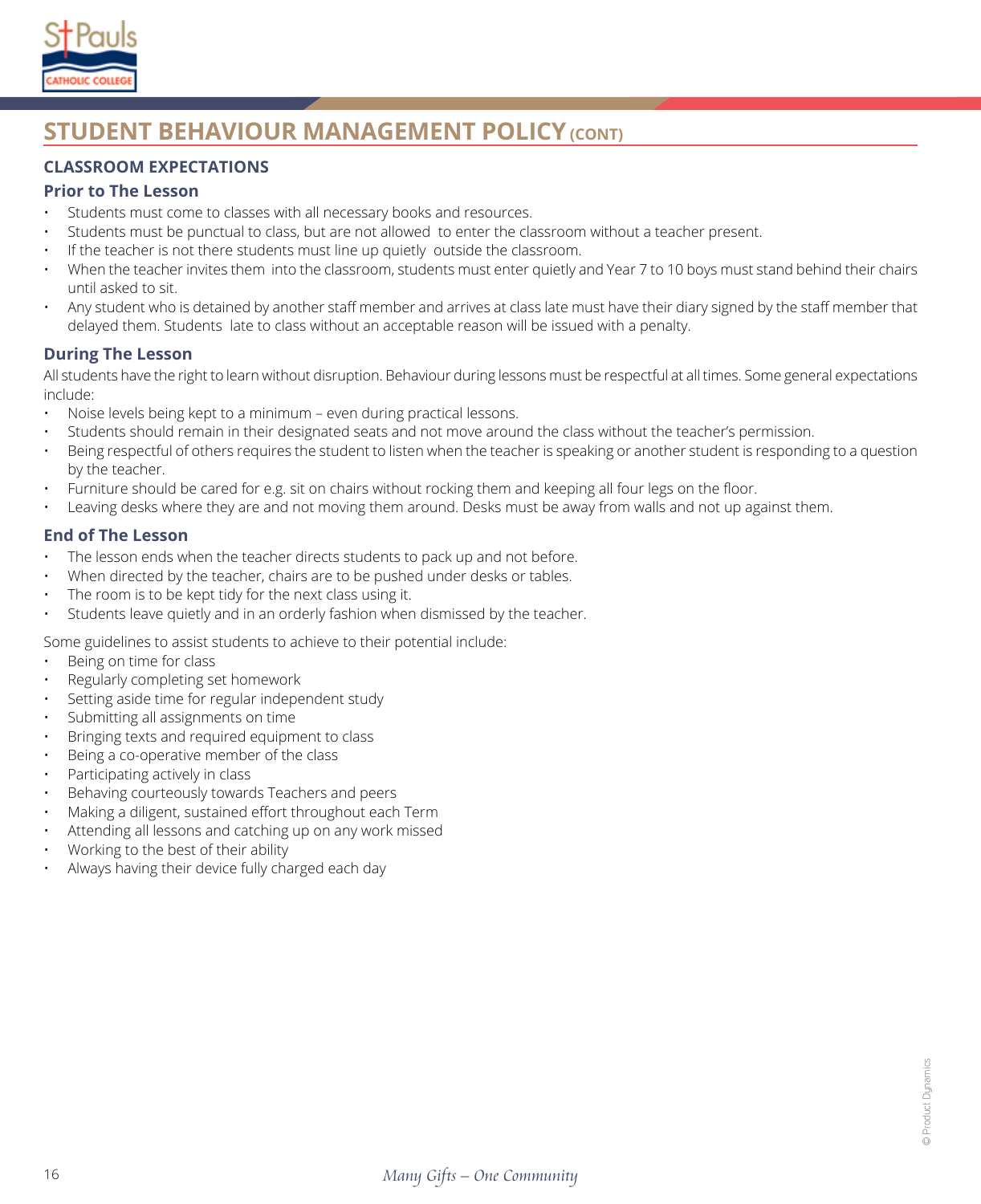

### **STUDENT BEHAVIOUR MANAGEMENT POLICY (CONT)**

#### **CLASSROOM EXPECTATIONS**

#### **Prior to The Lesson**

- Students must come to classes with all necessary books and resources.
- Students must be punctual to class, but are not allowed to enter the classroom without a teacher present.
- If the teacher is not there students must line up quietly outside the classroom.
- When the teacher invites them into the classroom, students must enter quietly and Year 7 to 10 boys must stand behind their chairs until asked to sit.
- Any student who is detained by another staff member and arrives at class late must have their diary signed by the staff member that delayed them. Students late to class without an acceptable reason will be issued with a penalty.

#### **During The Lesson**

All students have the right to learn without disruption. Behaviour during lessons must be respectful at all times. Some general expectations include:

- Noise levels being kept to a minimum even during practical lessons.
- Students should remain in their designated seats and not move around the class without the teacher's permission.
- Being respectful of others requires the student to listen when the teacher is speaking or another student is responding to a question by the teacher.
- Furniture should be cared for e.g. sit on chairs without rocking them and keeping all four legs on the floor.
- Leaving desks where they are and not moving them around. Desks must be away from walls and not up against them.

#### **End of The Lesson**

- The lesson ends when the teacher directs students to pack up and not before.
- When directed by the teacher, chairs are to be pushed under desks or tables.
- The room is to be kept tidy for the next class using it.
- Students leave quietly and in an orderly fashion when dismissed by the teacher.

Some guidelines to assist students to achieve to their potential include:

- Being on time for class
- Regularly completing set homework
- Setting aside time for regular independent study
- Submitting all assignments on time
- Bringing texts and required equipment to class
- Being a co-operative member of the class
- Participating actively in class
- Behaving courteously towards Teachers and peers
- Making a diligent, sustained effort throughout each Term
- Attending all lessons and catching up on any work missed
- Working to the best of their ability
- Always having their device fully charged each day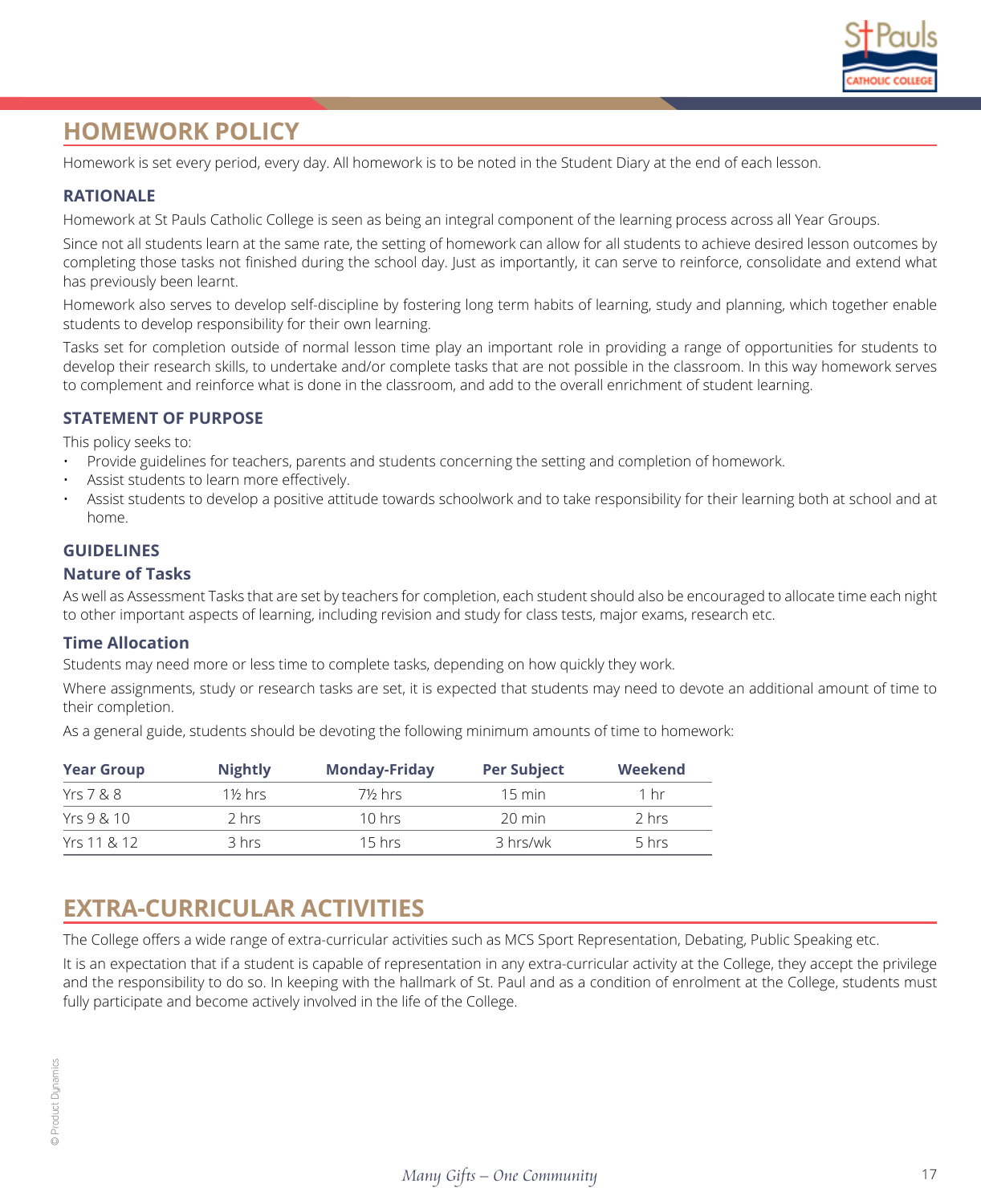

### **HOMEWORK POLICY**

Homework is set every period, every day. All homework is to be noted in the Student Diary at the end of each lesson.

#### **RATIONALE**

Homework at St Pauls Catholic College is seen as being an integral component of the learning process across all Year Groups.

Since not all students learn at the same rate, the setting of homework can allow for all students to achieve desired lesson outcomes by completing those tasks not finished during the school day. Just as importantly, it can serve to reinforce, consolidate and extend what has previously been learnt.

Homework also serves to develop self-discipline by fostering long term habits of learning, study and planning, which together enable students to develop responsibility for their own learning.

Tasks set for completion outside of normal lesson time play an important role in providing a range of opportunities for students to develop their research skills, to undertake and/or complete tasks that are not possible in the classroom. In this way homework serves to complement and reinforce what is done in the classroom, and add to the overall enrichment of student learning.

#### **STATEMENT OF PURPOSE**

This policy seeks to:

- Provide guidelines for teachers, parents and students concerning the setting and completion of homework.
- Assist students to learn more effectively.
- Assist students to develop a positive attitude towards schoolwork and to take responsibility for their learning both at school and at home.

### **GUIDELINES**

#### **Nature of Tasks**

As well as Assessment Tasks that are set by teachers for completion, each student should also be encouraged to allocate time each night to other important aspects of learning, including revision and study for class tests, major exams, research etc.

#### **Time Allocation**

Students may need more or less time to complete tasks, depending on how quickly they work.

Where assignments, study or research tasks are set, it is expected that students may need to devote an additional amount of time to their completion.

As a general guide, students should be devoting the following minimum amounts of time to homework:

| <b>Year Group</b> | <b>Nightly</b> | <b>Monday-Friday</b> | <b>Per Subject</b> | Weekend |
|-------------------|----------------|----------------------|--------------------|---------|
| Yrs 7 & 8         | $1\%$ hrs      | 7½ hrs               | $15 \text{ min}$   | 1 hr    |
| Yrs 9 & 10        | 2 hrs          | $10$ hrs             | $20 \text{ min}$   | 2 hrs   |
| Yrs 11 & 12       | 3 hrs          | $15$ hrs             | 3 hrs/wk           | 5 hrs   |

### **EXTRA-CURRICULAR ACTIVITIES**

The College offers a wide range of extra-curricular activities such as MCS Sport Representation, Debating, Public Speaking etc.

It is an expectation that if a student is capable of representation in any extra-curricular activity at the College, they accept the privilege and the responsibility to do so. In keeping with the hallmark of St. Paul and as a condition of enrolment at the College, students must fully participate and become actively involved in the life of the College.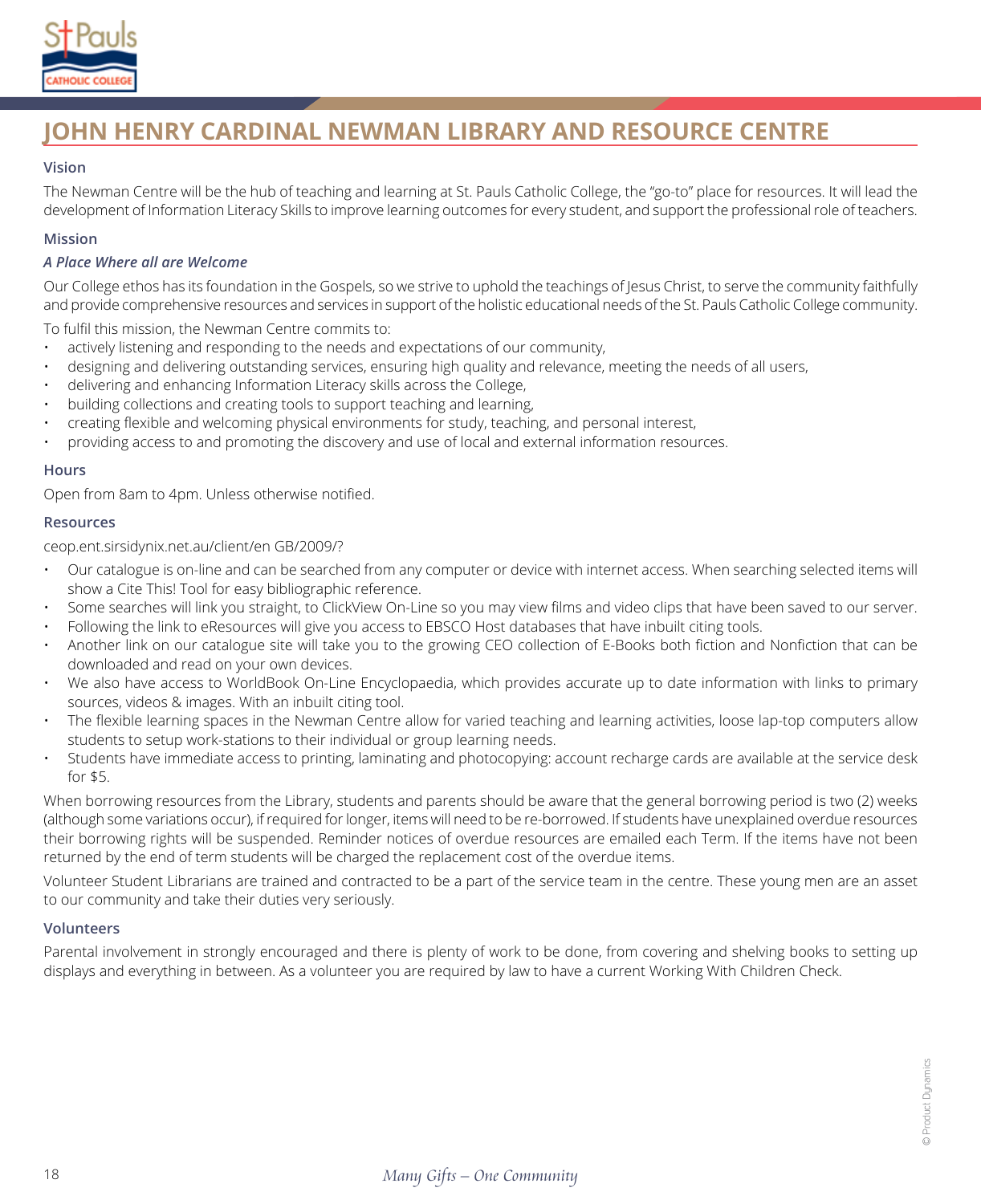

### **JOHN HENRY CARDINAL NEWMAN LIBRARY AND RESOURCE CENTRE**

#### **Vision**

The Newman Centre will be the hub of teaching and learning at St. Pauls Catholic College, the "go-to" place for resources. It will lead the development of Information Literacy Skills to improve learning outcomes for every student, and support the professional role of teachers.

#### **Mission**

#### *A Place Where all are Welcome*

Our College ethos has its foundation in the Gospels, so we strive to uphold the teachings of Jesus Christ, to serve the community faithfully and provide comprehensive resources and services in support of the holistic educational needs of the St. Pauls Catholic College community.

To fulfil this mission, the Newman Centre commits to:

- actively listening and responding to the needs and expectations of our community,
- designing and delivering outstanding services, ensuring high quality and relevance, meeting the needs of all users,
- delivering and enhancing Information Literacy skills across the College,
- building collections and creating tools to support teaching and learning,
- creating flexible and welcoming physical environments for study, teaching, and personal interest,
- providing access to and promoting the discovery and use of local and external information resources.

#### **Hours**

Open from 8am to 4pm. Unless otherwise notified.

#### **Resources**

ceop.ent.sirsidynix.net.au/client/en GB/2009/?

- Our catalogue is on-line and can be searched from any computer or device with internet access. When searching selected items will show a Cite This! Tool for easy bibliographic reference.
- Some searches will link you straight, to ClickView On-Line so you may view films and video clips that have been saved to our server.
- Following the link to eResources will give you access to EBSCO Host databases that have inbuilt citing tools.
- Another link on our catalogue site will take you to the growing CEO collection of E-Books both fiction and Nonfiction that can be downloaded and read on your own devices.
- We also have access to WorldBook On-Line Encyclopaedia, which provides accurate up to date information with links to primary sources, videos & images. With an inbuilt citing tool.
- The flexible learning spaces in the Newman Centre allow for varied teaching and learning activities, loose lap-top computers allow students to setup work-stations to their individual or group learning needs.
- Students have immediate access to printing, laminating and photocopying: account recharge cards are available at the service desk for \$5.

When borrowing resources from the Library, students and parents should be aware that the general borrowing period is two (2) weeks (although some variations occur), if required for longer, items will need to be re-borrowed. If students have unexplained overdue resources their borrowing rights will be suspended. Reminder notices of overdue resources are emailed each Term. If the items have not been returned by the end of term students will be charged the replacement cost of the overdue items.

Volunteer Student Librarians are trained and contracted to be a part of the service team in the centre. These young men are an asset to our community and take their duties very seriously.

#### **Volunteers**

Parental involvement in strongly encouraged and there is plenty of work to be done, from covering and shelving books to setting up displays and everything in between. As a volunteer you are required by law to have a current Working With Children Check.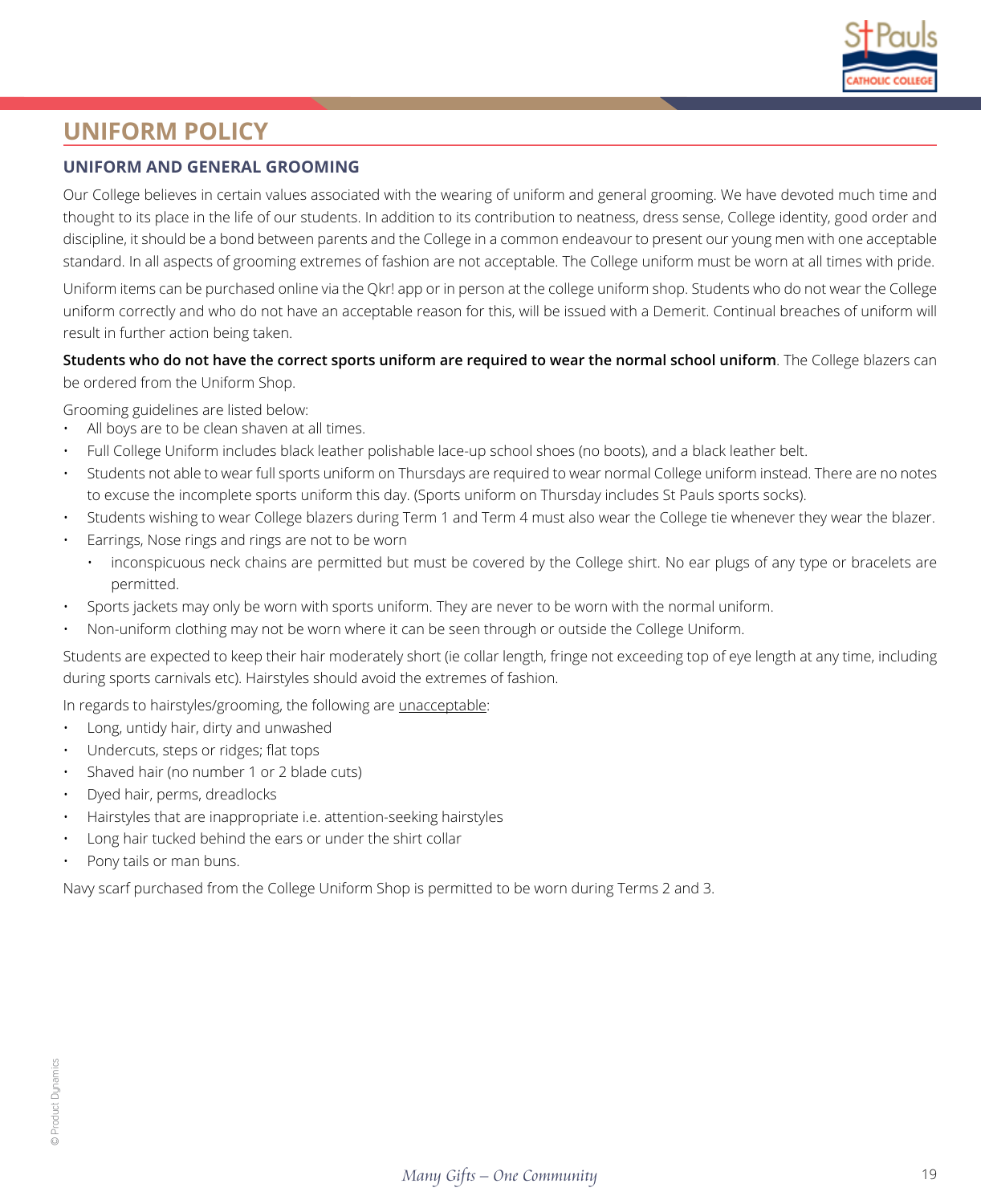

### **UNIFORM POLICY**

#### **UNIFORM AND GENERAL GROOMING**

Our College believes in certain values associated with the wearing of uniform and general grooming. We have devoted much time and thought to its place in the life of our students. In addition to its contribution to neatness, dress sense, College identity, good order and discipline, it should be a bond between parents and the College in a common endeavour to present our young men with one acceptable standard. In all aspects of grooming extremes of fashion are not acceptable. The College uniform must be worn at all times with pride.

Uniform items can be purchased online via the Qkr! app or in person at the college uniform shop. Students who do not wear the College uniform correctly and who do not have an acceptable reason for this, will be issued with a Demerit. Continual breaches of uniform will result in further action being taken.

**Students who do not have the correct sports uniform are required to wear the normal school uniform**. The College blazers can be ordered from the Uniform Shop.

Grooming guidelines are listed below:

- All boys are to be clean shaven at all times.
- Full College Uniform includes black leather polishable lace-up school shoes (no boots), and a black leather belt.
- Students not able to wear full sports uniform on Thursdays are required to wear normal College uniform instead. There are no notes to excuse the incomplete sports uniform this day. (Sports uniform on Thursday includes St Pauls sports socks).
- Students wishing to wear College blazers during Term 1 and Term 4 must also wear the College tie whenever they wear the blazer.
- Earrings, Nose rings and rings are not to be worn
	- inconspicuous neck chains are permitted but must be covered by the College shirt. No ear plugs of any type or bracelets are permitted.
- Sports jackets may only be worn with sports uniform. They are never to be worn with the normal uniform.
- Non-uniform clothing may not be worn where it can be seen through or outside the College Uniform.

Students are expected to keep their hair moderately short (ie collar length, fringe not exceeding top of eye length at any time, including during sports carnivals etc). Hairstyles should avoid the extremes of fashion.

In regards to hairstyles/grooming, the following are unacceptable:

- Long, untidy hair, dirty and unwashed
- Undercuts, steps or ridges; flat tops
- Shaved hair (no number 1 or 2 blade cuts)
- Dyed hair, perms, dreadlocks
- Hairstyles that are inappropriate i.e. attention-seeking hairstyles
- Long hair tucked behind the ears or under the shirt collar
- Pony tails or man buns.

Navy scarf purchased from the College Uniform Shop is permitted to be worn during Terms 2 and 3.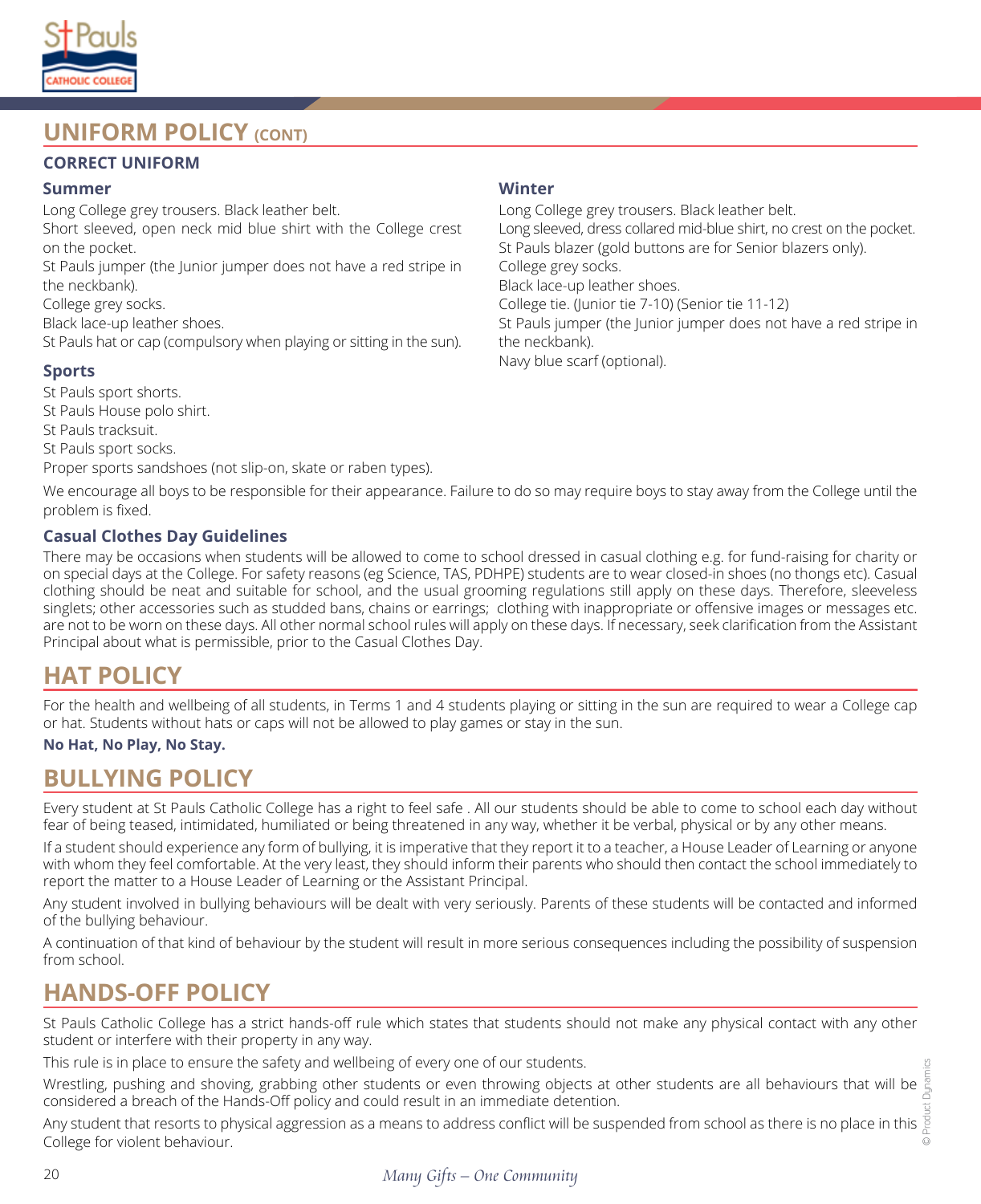

### **UNIFORM POLICY (CONT)**

#### **CORRECT UNIFORM**

#### **Summer**

Long College grey trousers. Black leather belt.

Short sleeved, open neck mid blue shirt with the College crest on the pocket.

St Pauls jumper (the Junior jumper does not have a red stripe in the neckbank).

College grey socks.

Black lace-up leather shoes.

St Pauls hat or cap (compulsory when playing or sitting in the sun).

#### **Sports**

St Pauls sport shorts.

St Pauls House polo shirt.

St Pauls tracksuit.

St Pauls sport socks.

Proper sports sandshoes (not slip-on, skate or raben types).

### **Winter**

Long College grey trousers. Black leather belt. Long sleeved, dress collared mid-blue shirt, no crest on the pocket. St Pauls blazer (gold buttons are for Senior blazers only). College grey socks. Black lace-up leather shoes. College tie. (Junior tie 7-10) (Senior tie 11-12) St Pauls jumper (the Junior jumper does not have a red stripe in the neckbank). Navy blue scarf (optional).

We encourage all boys to be responsible for their appearance. Failure to do so may require boys to stay away from the College until the problem is fixed.

#### **Casual Clothes Day Guidelines**

There may be occasions when students will be allowed to come to school dressed in casual clothing e.g. for fund-raising for charity or on special days at the College. For safety reasons (eg Science, TAS, PDHPE) students are to wear closed-in shoes (no thongs etc). Casual clothing should be neat and suitable for school, and the usual grooming regulations still apply on these days. Therefore, sleeveless singlets; other accessories such as studded bans, chains or earrings; clothing with inappropriate or offensive images or messages etc. are not to be worn on these days. All other normal school rules will apply on these days. If necessary, seek clarification from the Assistant Principal about what is permissible, prior to the Casual Clothes Day.

### **HAT POLICY**

For the health and wellbeing of all students, in Terms 1 and 4 students playing or sitting in the sun are required to wear a College cap or hat. Students without hats or caps will not be allowed to play games or stay in the sun.

#### **No Hat, No Play, No Stay.**

### **BULLYING POLICY**

Every student at St Pauls Catholic College has a right to feel safe . All our students should be able to come to school each day without fear of being teased, intimidated, humiliated or being threatened in any way, whether it be verbal, physical or by any other means.

If a student should experience any form of bullying, it is imperative that they report it to a teacher, a House Leader of Learning or anyone with whom they feel comfortable. At the very least, they should inform their parents who should then contact the school immediately to report the matter to a House Leader of Learning or the Assistant Principal.

Any student involved in bullying behaviours will be dealt with very seriously. Parents of these students will be contacted and informed of the bullying behaviour.

A continuation of that kind of behaviour by the student will result in more serious consequences including the possibility of suspension from school.

### **HANDS-OFF POLICY**

St Pauls Catholic College has a strict hands-off rule which states that students should not make any physical contact with any other student or interfere with their property in any way.

This rule is in place to ensure the safety and wellbeing of every one of our students.

Wrestling, pushing and shoving, grabbing other students or even throwing objects at other students are all behaviours that will be considered a breach of the Hands-Off policy and could result in an immediate detention.

© Product Dynamics Any student that resorts to physical aggression as a means to address conflict will be suspended from school as there is no place in this College for violent behaviour.

20 Many Gifts – One Community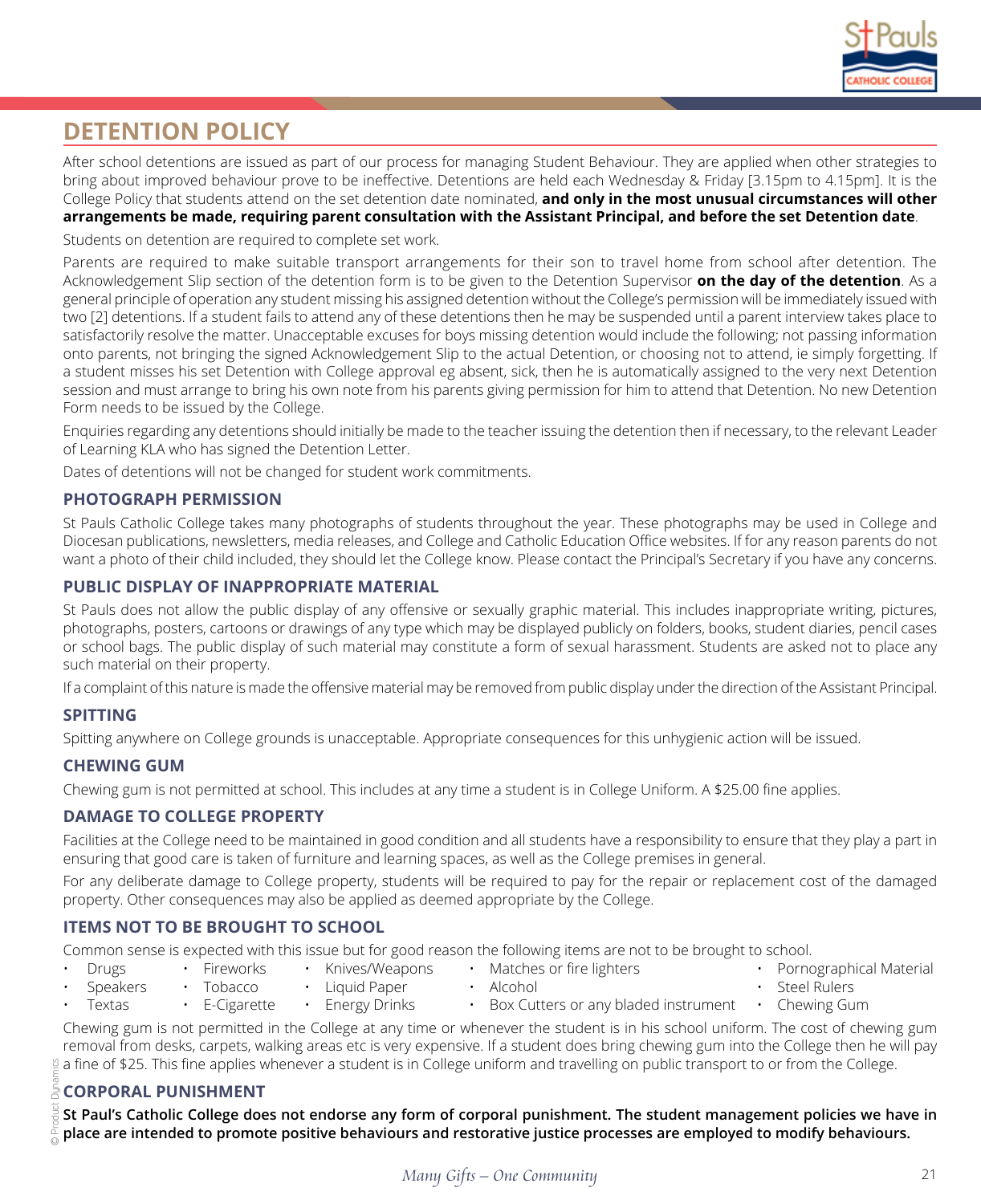

### **DETENTION POLICY**

After school detentions are issued as part of our process for managing Student Behaviour. They are applied when other strategies to bring about improved behaviour prove to be ineffective. Detentions are held each Wednesday & Friday [3.15pm to 4.15pm]. It is the College Policy that students attend on the set detention date nominated, **and only in the most unusual circumstances will other arrangements be made, requiring parent consultation with the Assistant Principal, and before the set Detention date**.

Students on detention are required to complete set work.

Parents are required to make suitable transport arrangements for their son to travel home from school after detention. The Acknowledgement Slip section of the detention form is to be given to the Detention Supervisor **on the day of the detention**. As a general principle of operation any student missing his assigned detention without the College's permission will be immediately issued with two [2] detentions. If a student fails to attend any of these detentions then he may be suspended until a parent interview takes place to satisfactorily resolve the matter. Unacceptable excuses for boys missing detention would include the following; not passing information onto parents, not bringing the signed Acknowledgement Slip to the actual Detention, or choosing not to attend, ie simply forgetting. If a student misses his set Detention with College approval eg absent, sick, then he is automatically assigned to the very next Detention session and must arrange to bring his own note from his parents giving permission for him to attend that Detention. No new Detention Form needs to be issued by the College.

Enquiries regarding any detentions should initially be made to the teacher issuing the detention then if necessary, to the relevant Leader of Learning KLA who has signed the Detention Letter.

Dates of detentions will not be changed for student work commitments.

#### **PHOTOGRAPH PERMISSION**

St Pauls Catholic College takes many photographs of students throughout the year. These photographs may be used in College and Diocesan publications, newsletters, media releases, and College and Catholic Education Office websites. If for any reason parents do not want a photo of their child included, they should let the College know. Please contact the Principal's Secretary if you have any concerns.

#### **PUBLIC DISPLAY OF INAPPROPRIATE MATERIAL**

St Pauls does not allow the public display of any offensive or sexually graphic material. This includes inappropriate writing, pictures, photographs, posters, cartoons or drawings of any type which may be displayed publicly on folders, books, student diaries, pencil cases or school bags. The public display of such material may constitute a form of sexual harassment. Students are asked not to place any such material on their property.

If a complaint of this nature is made the offensive material may be removed from public display under the direction of the Assistant Principal.

#### **SPITTING**

Spitting anywhere on College grounds is unacceptable. Appropriate consequences for this unhygienic action will be issued.

#### **CHEWING GUM**

Chewing gum is not permitted at school. This includes at any time a student is in College Uniform. A \$25.00 fine applies.

#### **DAMAGE TO COLLEGE PROPERTY**

Facilities at the College need to be maintained in good condition and all students have a responsibility to ensure that they play a part in ensuring that good care is taken of furniture and learning spaces, as well as the College premises in general.

For any deliberate damage to College property, students will be required to pay for the repair or replacement cost of the damaged property. Other consequences may also be applied as deemed appropriate by the College.

#### **ITEMS NOT TO BE BROUGHT TO SCHOOL**

Common sense is expected with this issue but for good reason the following items are not to be brought to school.

© Product Dynamics

- Speakers Tobacco Liquid Paper Alcohol Steel Rulers
- Drugs Fireworks Knives/Weapons Matches or fire lighters Pornographical Material
	-
- Textas E-Cigarette Energy Drinks Box Cutters or any bladed instrument Chewing Gum

Chewing gum is not permitted in the College at any time or whenever the student is in his school uniform. The cost of chewing gum removal from desks, carpets, walking areas etc is very expensive. If a student does bring chewing gum into the College then he will pay a fine of \$25. This fine applies whenever a student is in College uniform and travelling on public transport to or from the College.

#### **CORPORAL PUNISHMENT**

**St Paul's Catholic College does not endorse any form of corporal punishment. The student management policies we have in place are intended to promote positive behaviours and restorative justice processes are employed to modify behaviours.**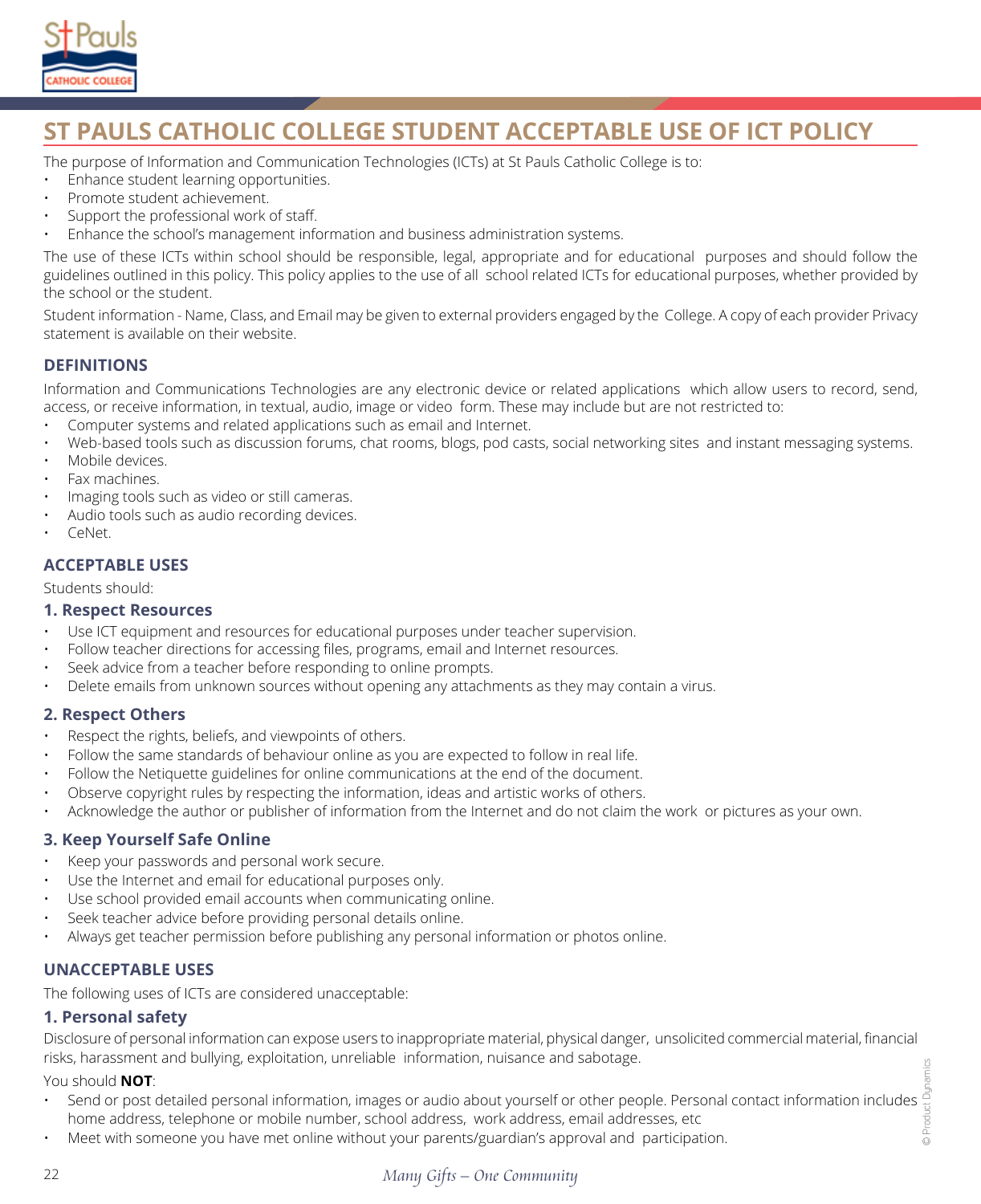

### **ST PAULS CATHOLIC COLLEGE STUDENT ACCEPTABLE USE OF ICT POLICY**

The purpose of Information and Communication Technologies (ICTs) at St Pauls Catholic College is to:

- Enhance student learning opportunities.
- Promote student achievement.
- Support the professional work of staff.
- Enhance the school's management information and business administration systems.

The use of these ICTs within school should be responsible, legal, appropriate and for educational purposes and should follow the guidelines outlined in this policy. This policy applies to the use of all school related ICTs for educational purposes, whether provided by the school or the student.

Student information - Name, Class, and Email may be given to external providers engaged by the College. A copy of each provider Privacy statement is available on their website.

#### **DEFINITIONS**

Information and Communications Technologies are any electronic device or related applications which allow users to record, send, access, or receive information, in textual, audio, image or video form. These may include but are not restricted to:

- Computer systems and related applications such as email and Internet.
- Web-based tools such as discussion forums, chat rooms, blogs, pod casts, social networking sites and instant messaging systems.
- Mobile devices.
- Fax machines.
- Imaging tools such as video or still cameras.
- Audio tools such as audio recording devices.
- CeNet.

#### **ACCEPTABLE USES**

Students should:

#### **1. Respect Resources**

- Use ICT equipment and resources for educational purposes under teacher supervision.
- Follow teacher directions for accessing files, programs, email and Internet resources.
- Seek advice from a teacher before responding to online prompts.
- Delete emails from unknown sources without opening any attachments as they may contain a virus.

#### **2. Respect Others**

- Respect the rights, beliefs, and viewpoints of others.
- Follow the same standards of behaviour online as you are expected to follow in real life.
- Follow the Netiquette guidelines for online communications at the end of the document.
- Observe copyright rules by respecting the information, ideas and artistic works of others.
- Acknowledge the author or publisher of information from the Internet and do not claim the work or pictures as your own.

#### **3. Keep Yourself Safe Online**

- Keep your passwords and personal work secure.
- Use the Internet and email for educational purposes only.
- Use school provided email accounts when communicating online.
- Seek teacher advice before providing personal details online.
- Always get teacher permission before publishing any personal information or photos online.

#### **UNACCEPTABLE USES**

The following uses of ICTs are considered unacceptable:

#### **1. Personal safety**

Disclosure of personal information can expose users to inappropriate material, physical danger, unsolicited commercial material, financial risks, harassment and bullying, exploitation, unreliable information, nuisance and sabotage.

You should **NOT**:

- Send or post detailed personal information, images or audio about yourself or other people. Personal contact information includes home address, telephone or mobile number, school address, work address, email addresses, etc
- Meet with someone you have met online without your parents/guardian's approval and participation.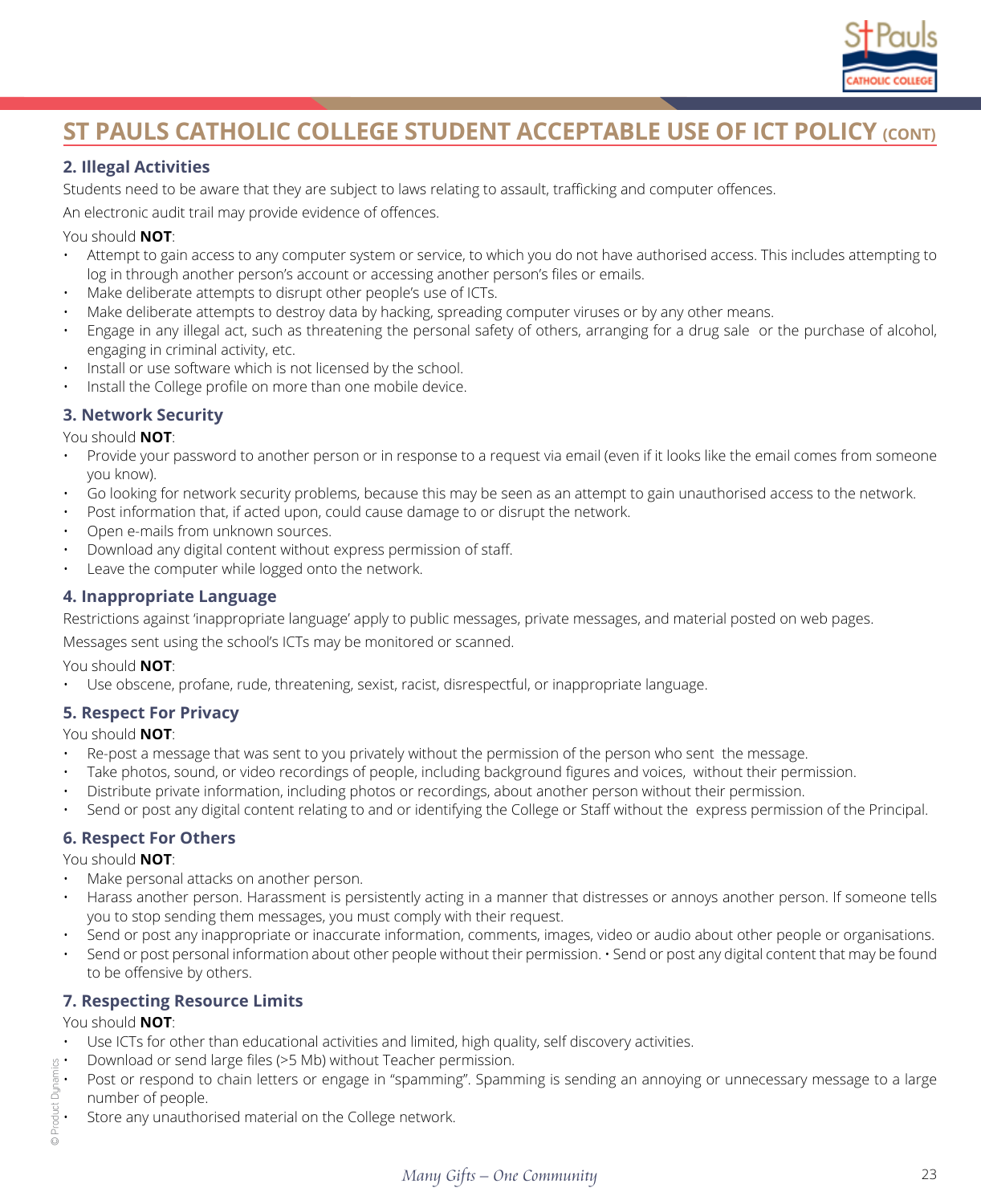

### **ST PAULS CATHOLIC COLLEGE STUDENT ACCEPTABLE USE OF ICT POLICY (CONT)**

#### **2. Illegal Activities**

Students need to be aware that they are subject to laws relating to assault, trafficking and computer offences.

An electronic audit trail may provide evidence of offences.

#### You should **NOT**:

- Attempt to gain access to any computer system or service, to which you do not have authorised access. This includes attempting to log in through another person's account or accessing another person's files or emails.
- Make deliberate attempts to disrupt other people's use of ICTs.
- Make deliberate attempts to destroy data by hacking, spreading computer viruses or by any other means.
- Engage in any illegal act, such as threatening the personal safety of others, arranging for a drug sale or the purchase of alcohol, engaging in criminal activity, etc.
- Install or use software which is not licensed by the school.
- Install the College profile on more than one mobile device.

#### **3. Network Security**

You should **NOT**:

- Provide your password to another person or in response to a request via email (even if it looks like the email comes from someone you know).
- Go looking for network security problems, because this may be seen as an attempt to gain unauthorised access to the network.
- Post information that, if acted upon, could cause damage to or disrupt the network.
- Open e-mails from unknown sources.
- Download any digital content without express permission of staff.
- Leave the computer while logged onto the network.

#### **4. Inappropriate Language**

Restrictions against 'inappropriate language' apply to public messages, private messages, and material posted on web pages.

Messages sent using the school's ICTs may be monitored or scanned.

You should **NOT**:

• Use obscene, profane, rude, threatening, sexist, racist, disrespectful, or inappropriate language.

#### **5. Respect For Privacy**

You should **NOT**:

- Re-post a message that was sent to you privately without the permission of the person who sent the message.
- Take photos, sound, or video recordings of people, including background figures and voices, without their permission.
- Distribute private information, including photos or recordings, about another person without their permission.
- Send or post any digital content relating to and or identifying the College or Staff without the express permission of the Principal.

#### **6. Respect For Others**

You should **NOT**:

- Make personal attacks on another person.
- Harass another person. Harassment is persistently acting in a manner that distresses or annoys another person. If someone tells you to stop sending them messages, you must comply with their request.
- Send or post any inappropriate or inaccurate information, comments, images, video or audio about other people or organisations.
- Send or post personal information about other people without their permission. Send or post any digital content that may be found to be offensive by others.

#### **7. Respecting Resource Limits**

#### You should **NOT**:

- Use ICTs for other than educational activities and limited, high quality, self discovery activities.
- Download or send large files (>5 Mb) without Teacher permission.
- Post or respond to chain letters or engage in "spamming". Spamming is sending an annoying or unnecessary message to a large number of people.
- Store any unauthorised material on the College network.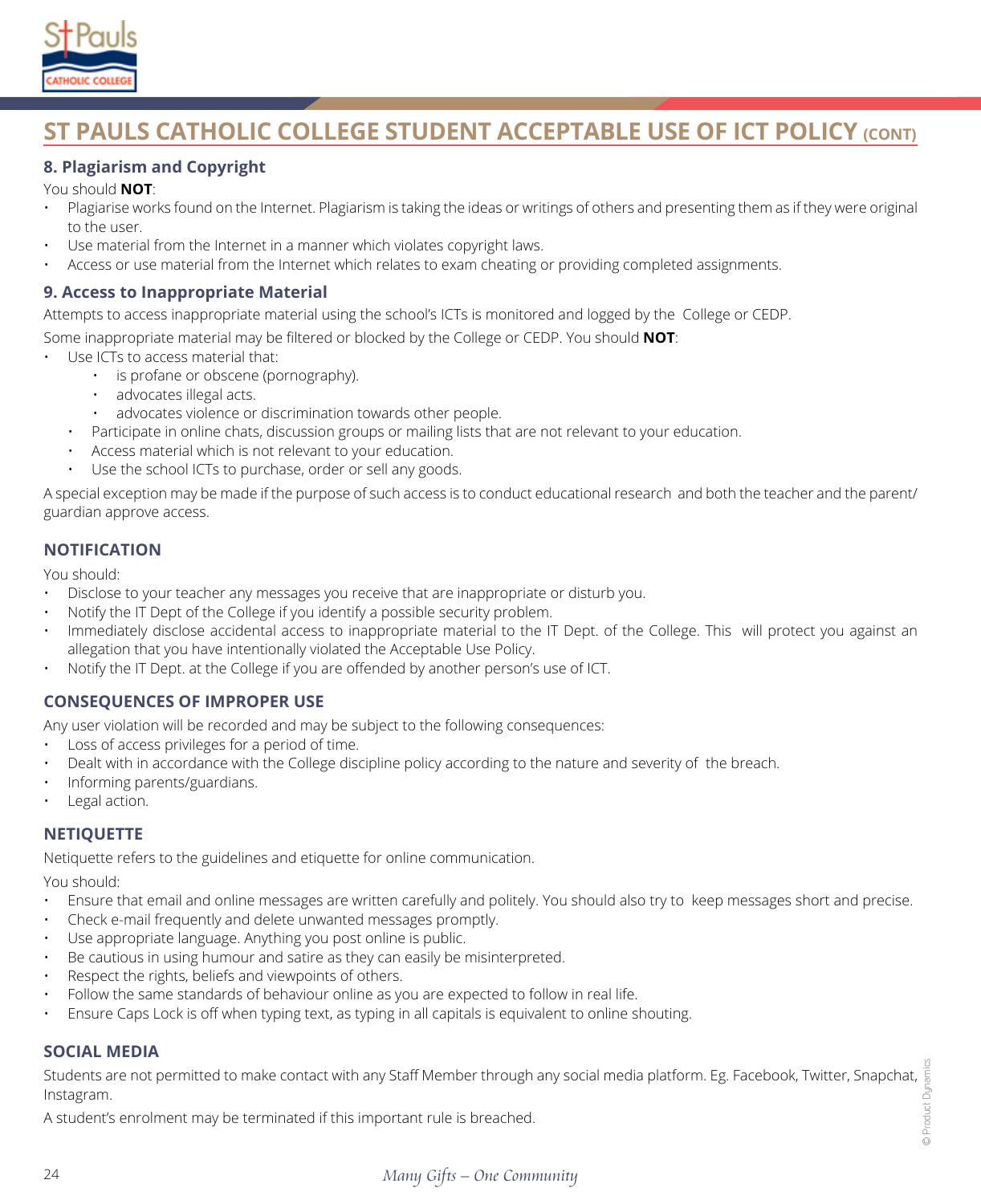

### **ST PAULS CATHOLIC COLLEGE STUDENT ACCEPTABLE USE OF ICT POLICY (CONT)**

#### **8. Plagiarism and Copyright**

You should **NOT**:

- Plagiarise works found on the Internet. Plagiarism is taking the ideas or writings of others and presenting them as if they were original to the user.
- Use material from the Internet in a manner which violates copyright laws.
- Access or use material from the Internet which relates to exam cheating or providing completed assignments.

#### **9. Access to Inappropriate Material**

Attempts to access inappropriate material using the school's ICTs is monitored and logged by the College or CEDP.

Some inappropriate material may be filtered or blocked by the College or CEDP. You should **NOT**:

- Use ICTs to access material that:
	- is profane or obscene (pornography).
	- advocates illegal acts.
	- advocates violence or discrimination towards other people.
	- Participate in online chats, discussion groups or mailing lists that are not relevant to your education.
	- Access material which is not relevant to your education.
	- Use the school ICTs to purchase, order or sell any goods.

A special exception may be made if the purpose of such access is to conduct educational research and both the teacher and the parent/ guardian approve access.

#### **NOTIFICATION**

You should:

- Disclose to your teacher any messages you receive that are inappropriate or disturb you.
- Notify the IT Dept of the College if you identify a possible security problem.
- Immediately disclose accidental access to inappropriate material to the IT Dept. of the College. This will protect you against an allegation that you have intentionally violated the Acceptable Use Policy.
- Notify the IT Dept. at the College if you are offended by another person's use of ICT.

#### **CONSEQUENCES OF IMPROPER USE**

Any user violation will be recorded and may be subject to the following consequences:

- Loss of access privileges for a period of time.
- Dealt with in accordance with the College discipline policy according to the nature and severity of the breach.
- Informing parents/guardians.
- Legal action.

#### **NETIQUETTE**

Netiquette refers to the guidelines and etiquette for online communication.

You should:

- Ensure that email and online messages are written carefully and politely. You should also try to keep messages short and precise.
- Check e-mail frequently and delete unwanted messages promptly.
- Use appropriate language. Anything you post online is public.
- Be cautious in using humour and satire as they can easily be misinterpreted.
- Respect the rights, beliefs and viewpoints of others.
- Follow the same standards of behaviour online as you are expected to follow in real life.
- Ensure Caps Lock is off when typing text, as typing in all capitals is equivalent to online shouting.

#### **SOCIAL MEDIA**

Students are not permitted to make contact with any Staff Member through any social media platform. Eg. Facebook, Twitter, Snapchat, and Instagram.<br>Instagram.<br>A student's enrolment may be terminated if this important rule Instagram.

A student's enrolment may be terminated if this important rule is breached.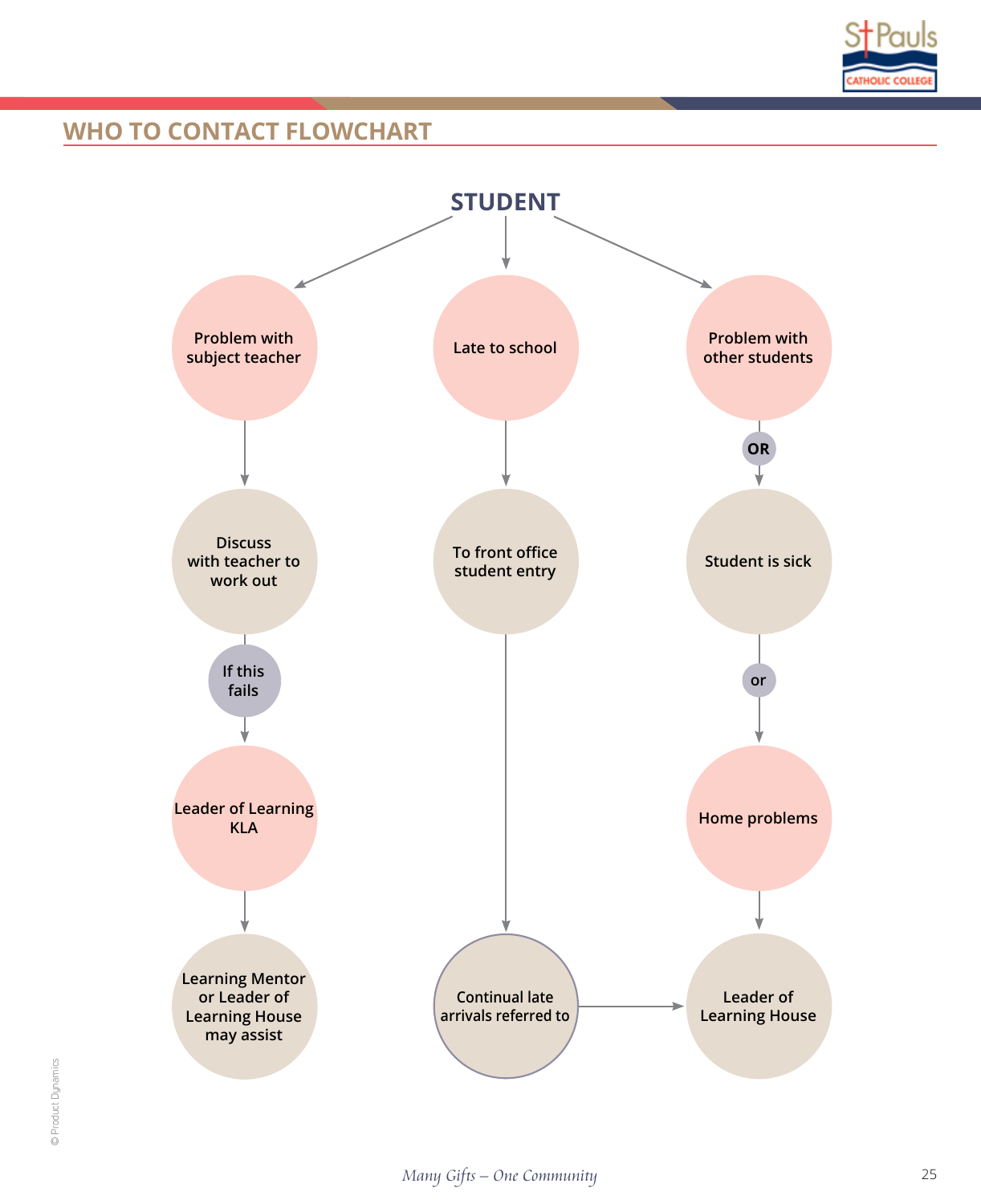

### **WHO TO CONTACT FLOWCHART**

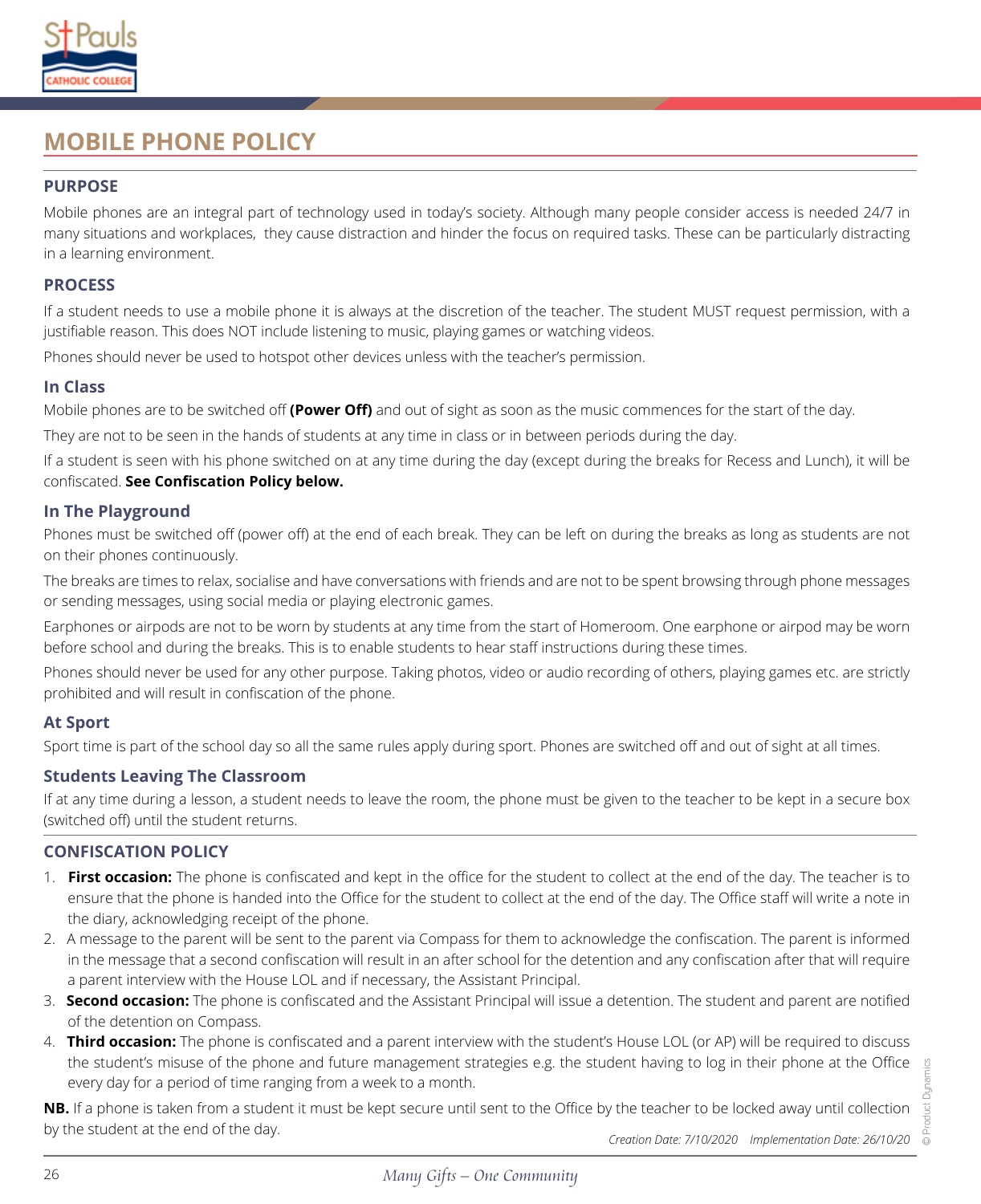

### **MOBILE PHONE POLICY**

#### **PURPOSE**

Mobile phones are an integral part of technology used in today's society. Although many people consider access is needed 24/7 in many situations and workplaces, they cause distraction and hinder the focus on required tasks. These can be particularly distracting in a learning environment.

#### **PROCESS**

If a student needs to use a mobile phone it is always at the discretion of the teacher. The student MUST request permission, with a justifiable reason. This does NOT include listening to music, playing games or watching videos.

Phones should never be used to hotspot other devices unless with the teacher's permission.

#### **In Class**

Mobile phones are to be switched off **(Power Off)** and out of sight as soon as the music commences for the start of the day.

They are not to be seen in the hands of students at any time in class or in between periods during the day.

If a student is seen with his phone switched on at any time during the day (except during the breaks for Recess and Lunch), it will be confiscated. **See Confiscation Policy below.** 

#### **In The Playground**

Phones must be switched off (power off) at the end of each break. They can be left on during the breaks as long as students are not on their phones continuously.

The breaks are times to relax, socialise and have conversations with friends and are not to be spent browsing through phone messages or sending messages, using social media or playing electronic games.

Earphones or airpods are not to be worn by students at any time from the start of Homeroom. One earphone or airpod may be worn before school and during the breaks. This is to enable students to hear staff instructions during these times.

Phones should never be used for any other purpose. Taking photos, video or audio recording of others, playing games etc. are strictly prohibited and will result in confiscation of the phone.

#### **At Sport**

Sport time is part of the school day so all the same rules apply during sport. Phones are switched off and out of sight at all times.

#### **Students Leaving The Classroom**

If at any time during a lesson, a student needs to leave the room, the phone must be given to the teacher to be kept in a secure box (switched off) until the student returns.

#### **CONFISCATION POLICY**

- 1. **First occasion:** The phone is confiscated and kept in the office for the student to collect at the end of the day. The teacher is to ensure that the phone is handed into the Office for the student to collect at the end of the day. The Office staff will write a note in the diary, acknowledging receipt of the phone.
- 2. A message to the parent will be sent to the parent via Compass for them to acknowledge the confiscation. The parent is informed in the message that a second confiscation will result in an after school for the detention and any confiscation after that will require a parent interview with the House LOL and if necessary, the Assistant Principal.
- 3. **Second occasion:** The phone is confiscated and the Assistant Principal will issue a detention. The student and parent are notified of the detention on Compass.
- 4. **Third occasion:** The phone is confiscated and a parent interview with the student's House LOL (or AP) will be required to discuss the student's misuse of the phone and future management strategies e.g. the student having to log in their phone at the Office every day for a period of time ranging from a week to a month.

**NB.** If a phone is taken from a student it must be kept secure until sent to the Office by the teacher to be locked away until collection by the student at the end of the day. *Creation Date: 7/10/2020 Implementation Date: 26/10/20*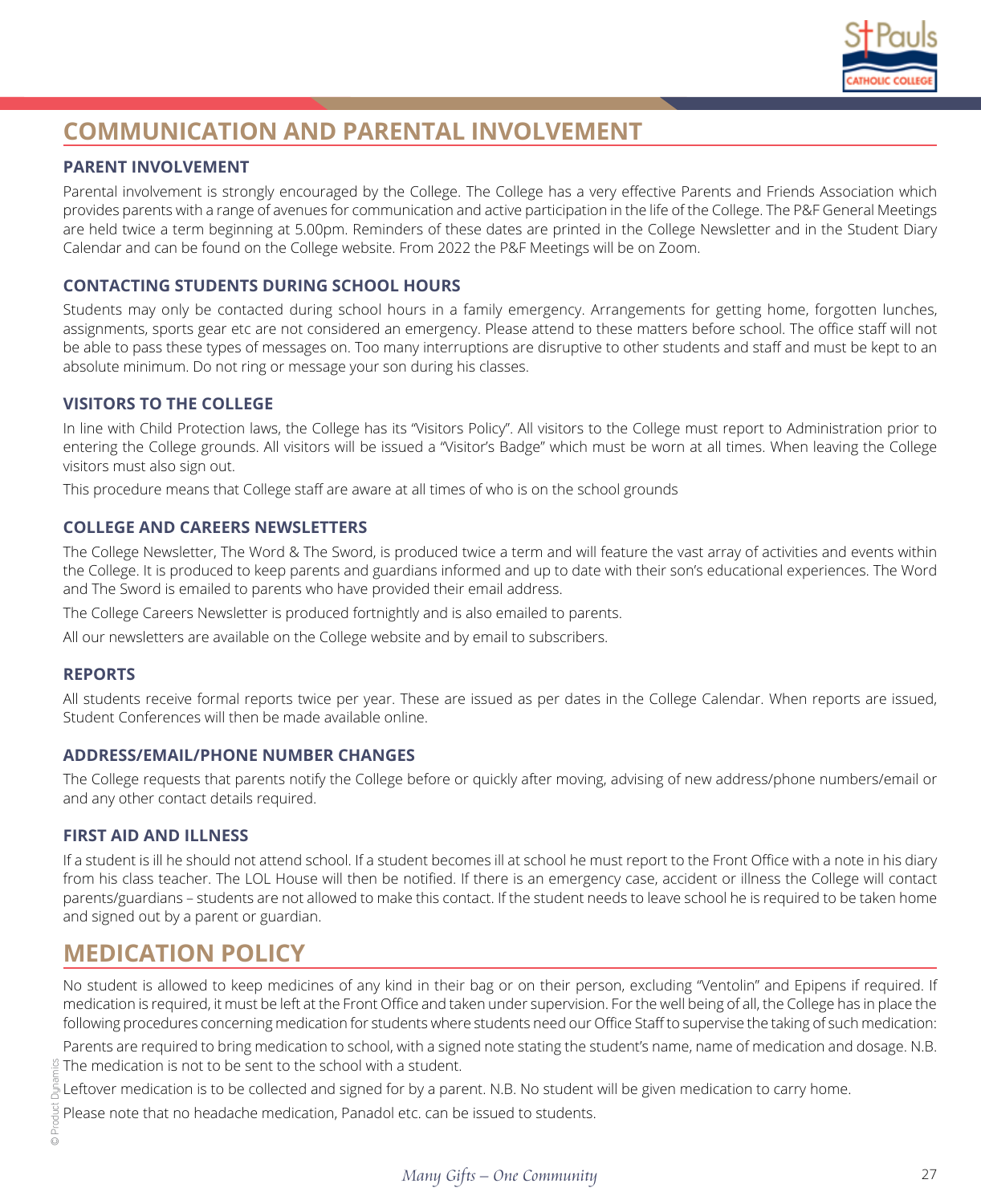

### **COMMUNICATION AND PARENTAL INVOLVEMENT**

#### **PARENT INVOLVEMENT**

Parental involvement is strongly encouraged by the College. The College has a very effective Parents and Friends Association which provides parents with a range of avenues for communication and active participation in the life of the College. The P&F General Meetings are held twice a term beginning at 5.00pm. Reminders of these dates are printed in the College Newsletter and in the Student Diary Calendar and can be found on the College website. From 2022 the P&F Meetings will be on Zoom.

#### **CONTACTING STUDENTS DURING SCHOOL HOURS**

Students may only be contacted during school hours in a family emergency. Arrangements for getting home, forgotten lunches, assignments, sports gear etc are not considered an emergency. Please attend to these matters before school. The office staff will not be able to pass these types of messages on. Too many interruptions are disruptive to other students and staff and must be kept to an absolute minimum. Do not ring or message your son during his classes.

#### **VISITORS TO THE COLLEGE**

In line with Child Protection laws, the College has its "Visitors Policy". All visitors to the College must report to Administration prior to entering the College grounds. All visitors will be issued a "Visitor's Badge" which must be worn at all times. When leaving the College visitors must also sign out.

This procedure means that College staff are aware at all times of who is on the school grounds

#### **COLLEGE AND CAREERS NEWSLETTERS**

The College Newsletter, The Word & The Sword, is produced twice a term and will feature the vast array of activities and events within the College. It is produced to keep parents and guardians informed and up to date with their son's educational experiences. The Word and The Sword is emailed to parents who have provided their email address.

The College Careers Newsletter is produced fortnightly and is also emailed to parents.

All our newsletters are available on the College website and by email to subscribers.

#### **REPORTS**

All students receive formal reports twice per year. These are issued as per dates in the College Calendar. When reports are issued, Student Conferences will then be made available online.

#### **ADDRESS/EMAIL/PHONE NUMBER CHANGES**

The College requests that parents notify the College before or quickly after moving, advising of new address/phone numbers/email or and any other contact details required.

#### **FIRST AID AND ILLNESS**

If a student is ill he should not attend school. If a student becomes ill at school he must report to the Front Office with a note in his diary from his class teacher. The LOL House will then be notified. If there is an emergency case, accident or illness the College will contact parents/guardians – students are not allowed to make this contact. If the student needs to leave school he is required to be taken home and signed out by a parent or guardian.

### **MEDICATION POLICY**

No student is allowed to keep medicines of any kind in their bag or on their person, excluding "Ventolin" and Epipens if required. If medication is required, it must be left at the Front Office and taken under supervision. For the well being of all, the College has in place the following procedures concerning medication for students where students need our Office Staff to supervise the taking of such medication:

Parents are required to bring medication to school, with a signed note stating the student's name, name of medication and dosage. N.B. The medication is not to be sent to the school with a student.

Leftover medication is to be collected and signed for by a parent. N.B. No student will be given medication to carry home.

Please note that no headache medication, Panadol etc. can be issued to students.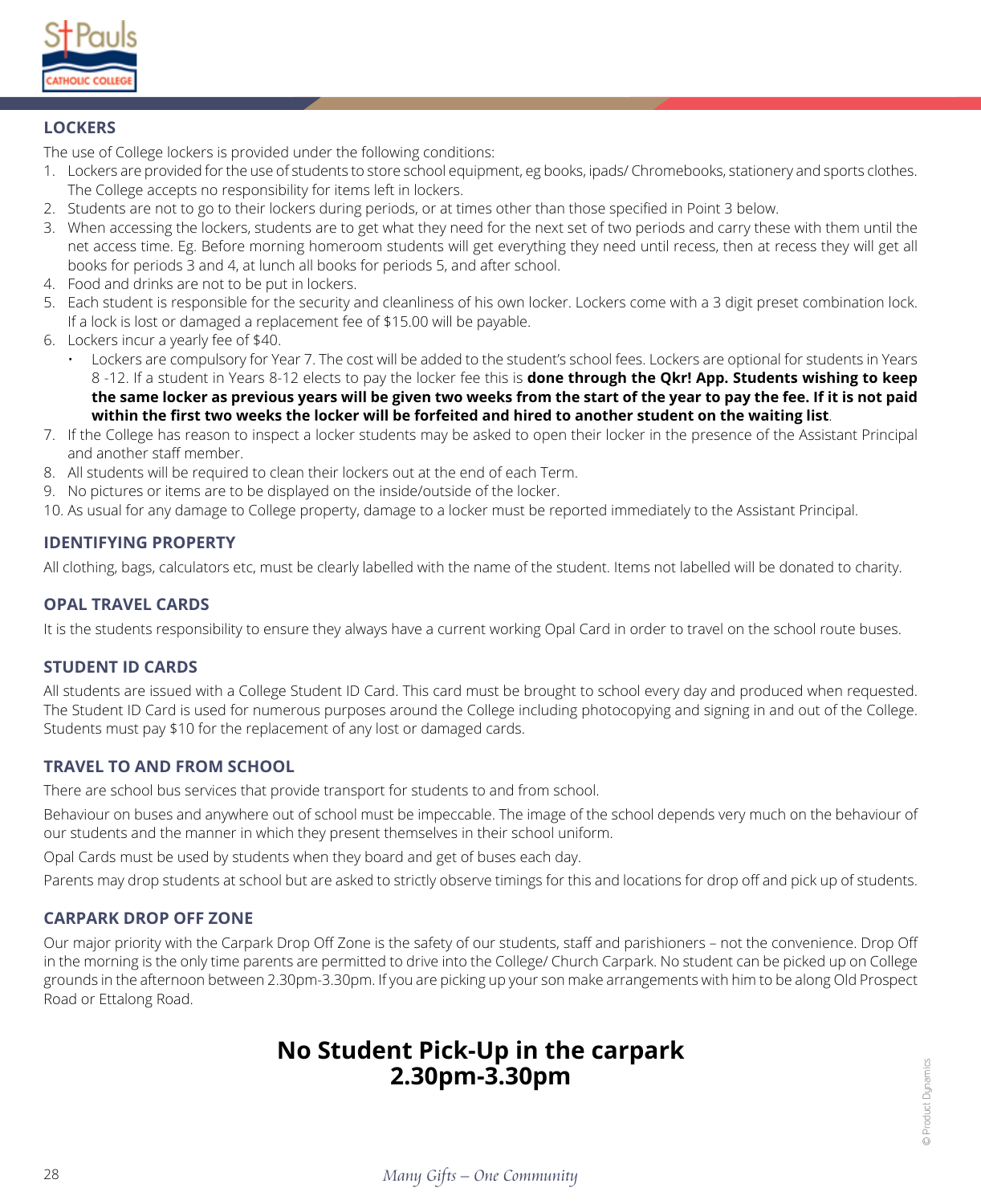

#### **LOCKERS**

The use of College lockers is provided under the following conditions:

- 1. Lockers are provided for the use of students to store school equipment, eg books, ipads/ Chromebooks, stationery and sports clothes. The College accepts no responsibility for items left in lockers.
- 2. Students are not to go to their lockers during periods, or at times other than those specified in Point 3 below.
- 3. When accessing the lockers, students are to get what they need for the next set of two periods and carry these with them until the net access time. Eg. Before morning homeroom students will get everything they need until recess, then at recess they will get all books for periods 3 and 4, at lunch all books for periods 5, and after school.
- 4. Food and drinks are not to be put in lockers.
- 5. Each student is responsible for the security and cleanliness of his own locker. Lockers come with a 3 digit preset combination lock. If a lock is lost or damaged a replacement fee of \$15.00 will be payable.
- 6. Lockers incur a yearly fee of \$40.
	- Lockers are compulsory for Year 7. The cost will be added to the student's school fees. Lockers are optional for students in Years 8 -12. If a student in Years 8-12 elects to pay the locker fee this is **done through the Qkr! App. Students wishing to keep the same locker as previous years will be given two weeks from the start of the year to pay the fee. If it is not paid within the first two weeks the locker will be forfeited and hired to another student on the waiting list**.
- 7. If the College has reason to inspect a locker students may be asked to open their locker in the presence of the Assistant Principal and another staff member.
- 8. All students will be required to clean their lockers out at the end of each Term.
- 9. No pictures or items are to be displayed on the inside/outside of the locker.
- 10. As usual for any damage to College property, damage to a locker must be reported immediately to the Assistant Principal.

#### **IDENTIFYING PROPERTY**

All clothing, bags, calculators etc, must be clearly labelled with the name of the student. Items not labelled will be donated to charity.

#### **OPAL TRAVEL CARDS**

It is the students responsibility to ensure they always have a current working Opal Card in order to travel on the school route buses.

#### **STUDENT ID CARDS**

All students are issued with a College Student ID Card. This card must be brought to school every day and produced when requested. The Student ID Card is used for numerous purposes around the College including photocopying and signing in and out of the College. Students must pay \$10 for the replacement of any lost or damaged cards.

#### **TRAVEL TO AND FROM SCHOOL**

There are school bus services that provide transport for students to and from school.

Behaviour on buses and anywhere out of school must be impeccable. The image of the school depends very much on the behaviour of our students and the manner in which they present themselves in their school uniform.

Opal Cards must be used by students when they board and get of buses each day.

Parents may drop students at school but are asked to strictly observe timings for this and locations for drop off and pick up of students.

#### **CARPARK DROP OFF ZONE**

Our major priority with the Carpark Drop Off Zone is the safety of our students, staff and parishioners – not the convenience. Drop Off in the morning is the only time parents are permitted to drive into the College/ Church Carpark. No student can be picked up on College grounds in the afternoon between 2.30pm-3.30pm. If you are picking up your son make arrangements with him to be along Old Prospect Road or Ettalong Road.

### **No Student Pick-Up in the carpark 2.30pm-3.30pm**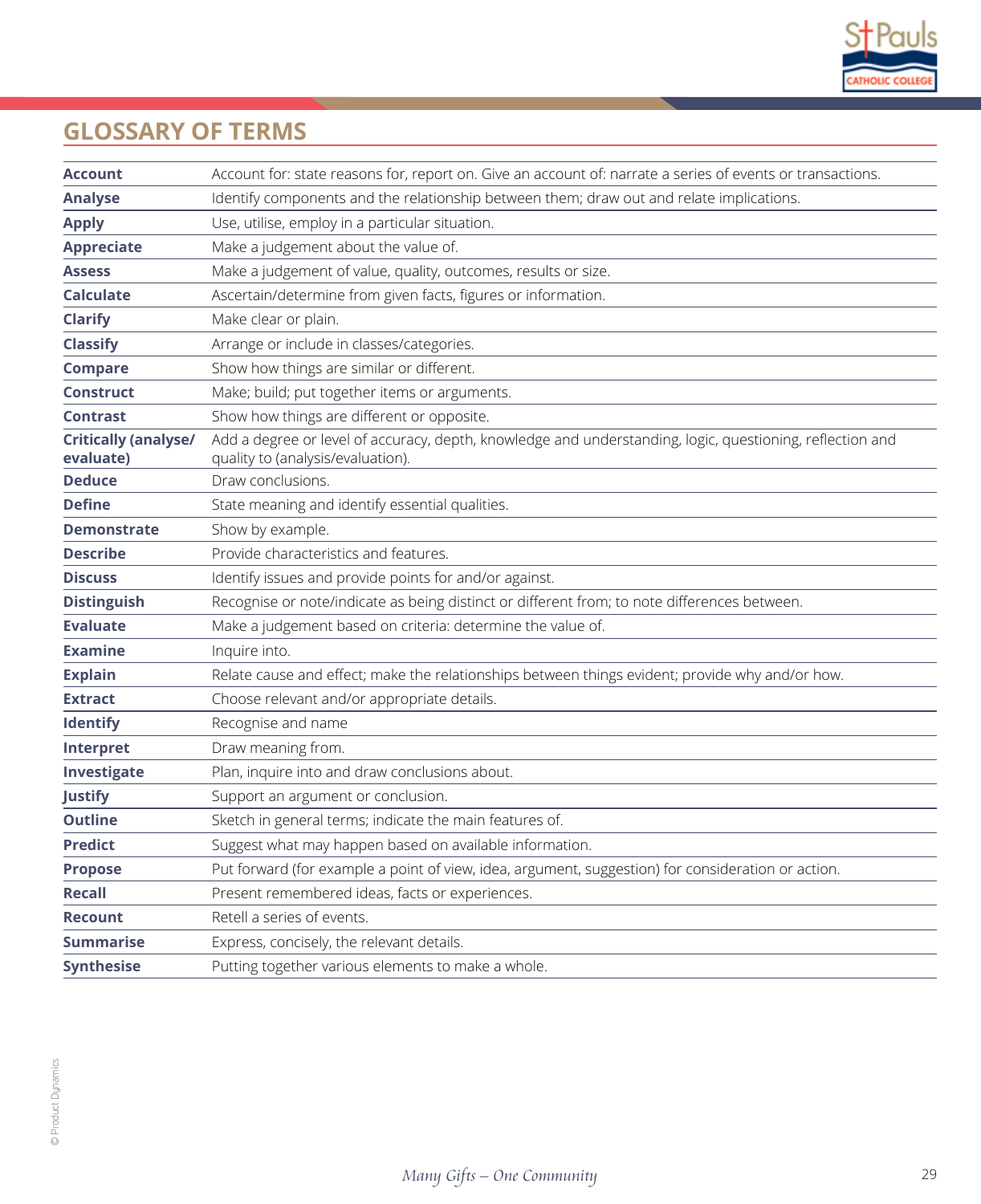

### **GLOSSARY OF TERMS**

| <b>Account</b>                           | Account for: state reasons for, report on. Give an account of: narrate a series of events or transactions.                                     |
|------------------------------------------|------------------------------------------------------------------------------------------------------------------------------------------------|
| <b>Analyse</b>                           | Identify components and the relationship between them; draw out and relate implications.                                                       |
| <b>Apply</b>                             | Use, utilise, employ in a particular situation.                                                                                                |
| <b>Appreciate</b>                        | Make a judgement about the value of.                                                                                                           |
| <b>Assess</b>                            | Make a judgement of value, quality, outcomes, results or size.                                                                                 |
| <b>Calculate</b>                         | Ascertain/determine from given facts, figures or information.                                                                                  |
| <b>Clarify</b>                           | Make clear or plain.                                                                                                                           |
| <b>Classify</b>                          | Arrange or include in classes/categories.                                                                                                      |
| <b>Compare</b>                           | Show how things are similar or different.                                                                                                      |
| <b>Construct</b>                         | Make; build; put together items or arguments.                                                                                                  |
| <b>Contrast</b>                          | Show how things are different or opposite.                                                                                                     |
| <b>Critically (analyse/</b><br>evaluate) | Add a degree or level of accuracy, depth, knowledge and understanding, logic, questioning, reflection and<br>quality to (analysis/evaluation). |
| <b>Deduce</b>                            | Draw conclusions.                                                                                                                              |
| <b>Define</b>                            | State meaning and identify essential qualities.                                                                                                |
| <b>Demonstrate</b>                       | Show by example.                                                                                                                               |
| <b>Describe</b>                          | Provide characteristics and features.                                                                                                          |
| <b>Discuss</b>                           | Identify issues and provide points for and/or against.                                                                                         |
| <b>Distinguish</b>                       | Recognise or note/indicate as being distinct or different from; to note differences between.                                                   |
| <b>Evaluate</b>                          | Make a judgement based on criteria: determine the value of.                                                                                    |
| <b>Examine</b>                           | Inquire into.                                                                                                                                  |
| <b>Explain</b>                           | Relate cause and effect; make the relationships between things evident; provide why and/or how.                                                |
| <b>Extract</b>                           | Choose relevant and/or appropriate details.                                                                                                    |
| Identify                                 | Recognise and name                                                                                                                             |
| Interpret                                | Draw meaning from.                                                                                                                             |
| Investigate                              | Plan, inquire into and draw conclusions about.                                                                                                 |
| <b>Justify</b>                           | Support an argument or conclusion.                                                                                                             |
| <b>Outline</b>                           | Sketch in general terms; indicate the main features of.                                                                                        |
| <b>Predict</b>                           | Suggest what may happen based on available information.                                                                                        |
| <b>Propose</b>                           | Put forward (for example a point of view, idea, argument, suggestion) for consideration or action.                                             |
| <b>Recall</b>                            | Present remembered ideas, facts or experiences.                                                                                                |
| <b>Recount</b>                           | Retell a series of events.                                                                                                                     |
| <b>Summarise</b>                         | Express, concisely, the relevant details.                                                                                                      |
| <b>Synthesise</b>                        | Putting together various elements to make a whole.                                                                                             |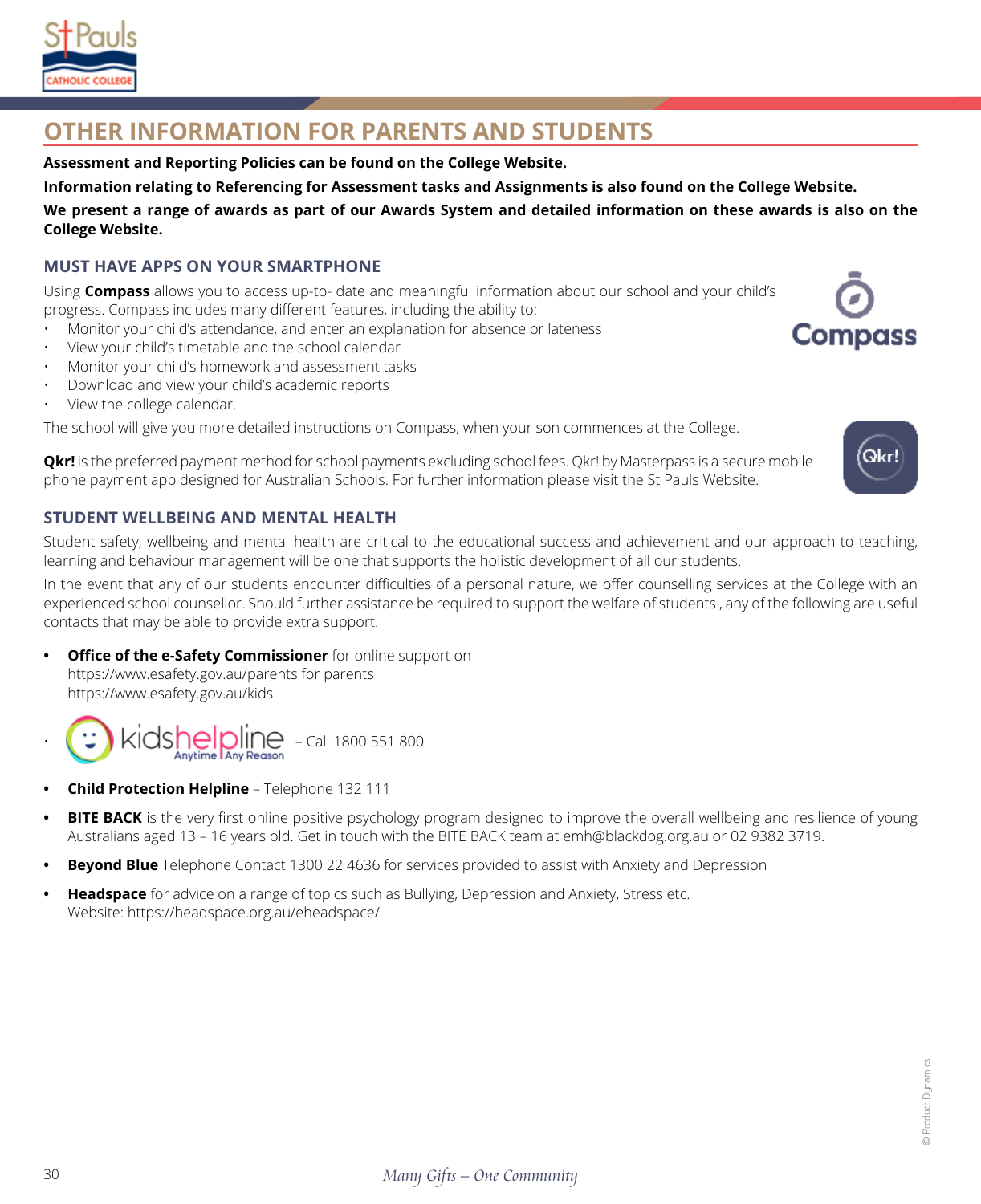

### **OTHER INFORMATION FOR PARENTS AND STUDENTS**

**Assessment and Reporting Policies can be found on the College Website.**

**Information relating to Referencing for Assessment tasks and Assignments is also found on the College Website.**

**We present a range of awards as part of our Awards System and detailed information on these awards is also on the College Website.** 

#### **MUST HAVE APPS ON YOUR SMARTPHONE**

Using **Compass** allows you to access up-to- date and meaningful information about our school and your child's progress. Compass includes many different features, including the ability to:

- Monitor your child's attendance, and enter an explanation for absence or lateness
- View your child's timetable and the school calendar
- Monitor your child's homework and assessment tasks
- Download and view your child's academic reports
- View the college calendar.

The school will give you more detailed instructions on Compass, when your son commences at the College.

**Qkr!** is the preferred payment method for school payments excluding school fees. Qkr! by Masterpass is a secure mobile phone payment app designed for Australian Schools. For further information please visit the St Pauls Website.

#### **STUDENT WELLBEING AND MENTAL HEALTH**

Student safety, wellbeing and mental health are critical to the educational success and achievement and our approach to teaching, learning and behaviour management will be one that supports the holistic development of all our students.

In the event that any of our students encounter difficulties of a personal nature, we offer counselling services at the College with an experienced school counsellor. Should further assistance be required to support the welfare of students , any of the following are useful contacts that may be able to provide extra support.

**Office of the e-Safety Commissioner** for online support on https://www.esafety.gov.au/parents for parents https://www.esafety.gov.au/kids

• – Call 1800 551 800

- **• Child Protection Helpline**  Telephone 132 111
- **BITE BACK** is the very first online positive psychology program designed to improve the overall wellbeing and resilience of young Australians aged 13 – 16 years old. Get in touch with the BITE BACK team at emh@blackdog.org.au or 02 9382 3719.
- **• Beyond Blue** Telephone Contact 1300 22 4636 for services provided to assist with Anxiety and Depression
- **• Headspace** for advice on a range of topics such as Bullying, Depression and Anxiety, Stress etc. Website: https://headspace.org.au/eheadspace/



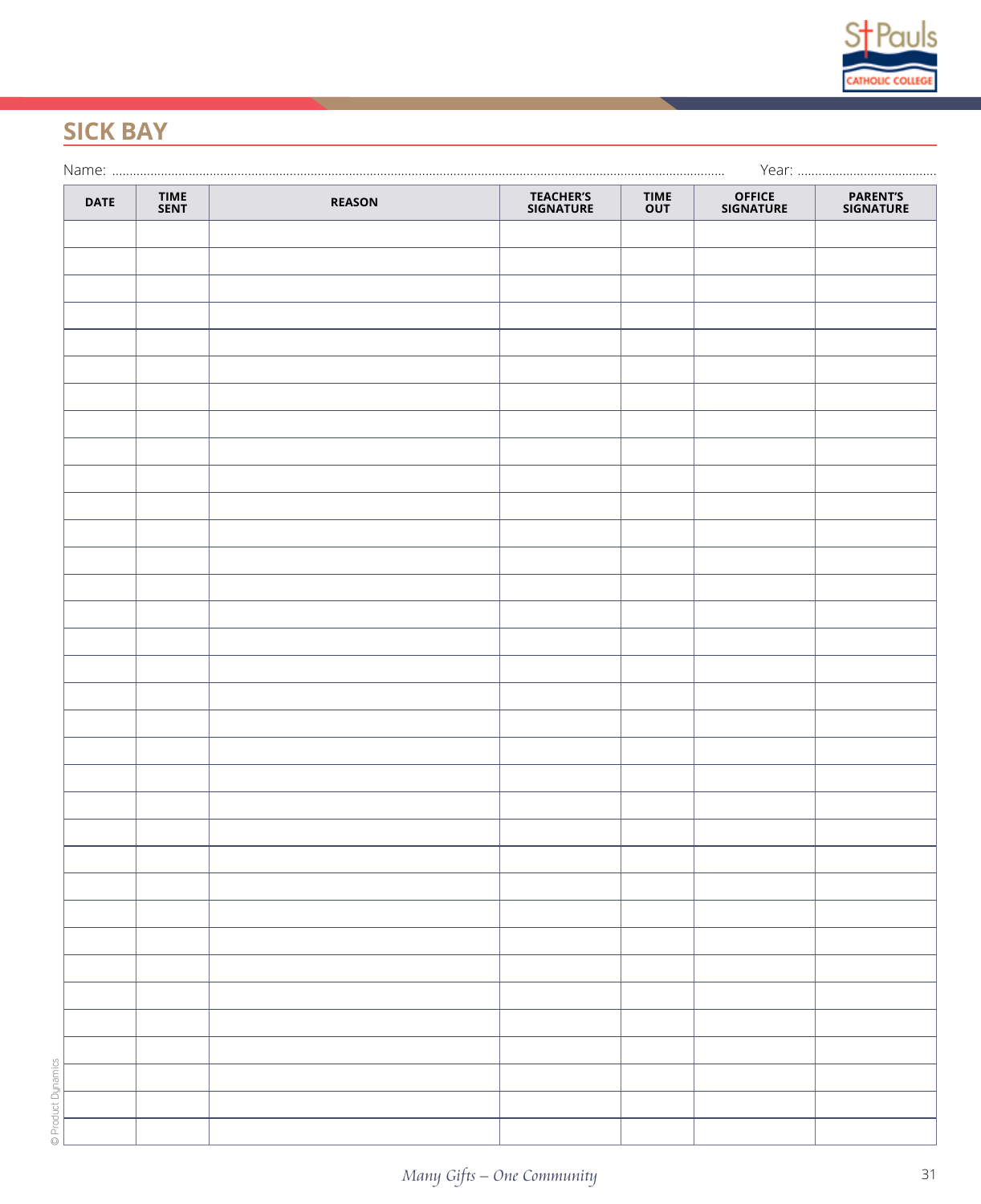

### **SICK BAY**

| <b>DATE</b>        | TIME<br>SENT | <b>REASON</b> | <b>TEACHER'S<br/>SIGNATURE</b> | <b>TIME<br/>OUT</b> | <b>OFFICE</b><br>SIGNATURE | PARENT'S<br>SIGNATURE |
|--------------------|--------------|---------------|--------------------------------|---------------------|----------------------------|-----------------------|
|                    |              |               |                                |                     |                            |                       |
|                    |              |               |                                |                     |                            |                       |
|                    |              |               |                                |                     |                            |                       |
|                    |              |               |                                |                     |                            |                       |
|                    |              |               |                                |                     |                            |                       |
|                    |              |               |                                |                     |                            |                       |
|                    |              |               |                                |                     |                            |                       |
|                    |              |               |                                |                     |                            |                       |
|                    |              |               |                                |                     |                            |                       |
|                    |              |               |                                |                     |                            |                       |
|                    |              |               |                                |                     |                            |                       |
|                    |              |               |                                |                     |                            |                       |
|                    |              |               |                                |                     |                            |                       |
|                    |              |               |                                |                     |                            |                       |
|                    |              |               |                                |                     |                            |                       |
|                    |              |               |                                |                     |                            |                       |
|                    |              |               |                                |                     |                            |                       |
|                    |              |               |                                |                     |                            |                       |
|                    |              |               |                                |                     |                            |                       |
|                    |              |               |                                |                     |                            |                       |
|                    |              |               |                                |                     |                            |                       |
|                    |              |               |                                |                     |                            |                       |
|                    |              |               |                                |                     |                            |                       |
|                    |              |               |                                |                     |                            |                       |
|                    |              |               |                                |                     |                            |                       |
|                    |              |               |                                |                     |                            |                       |
|                    |              |               |                                |                     |                            |                       |
|                    |              |               |                                |                     |                            |                       |
|                    |              |               |                                |                     |                            |                       |
|                    |              |               |                                |                     |                            |                       |
|                    |              |               |                                |                     |                            |                       |
| © Product Dynamics |              |               |                                |                     |                            |                       |
|                    |              |               |                                |                     |                            |                       |
|                    |              |               |                                |                     |                            |                       |